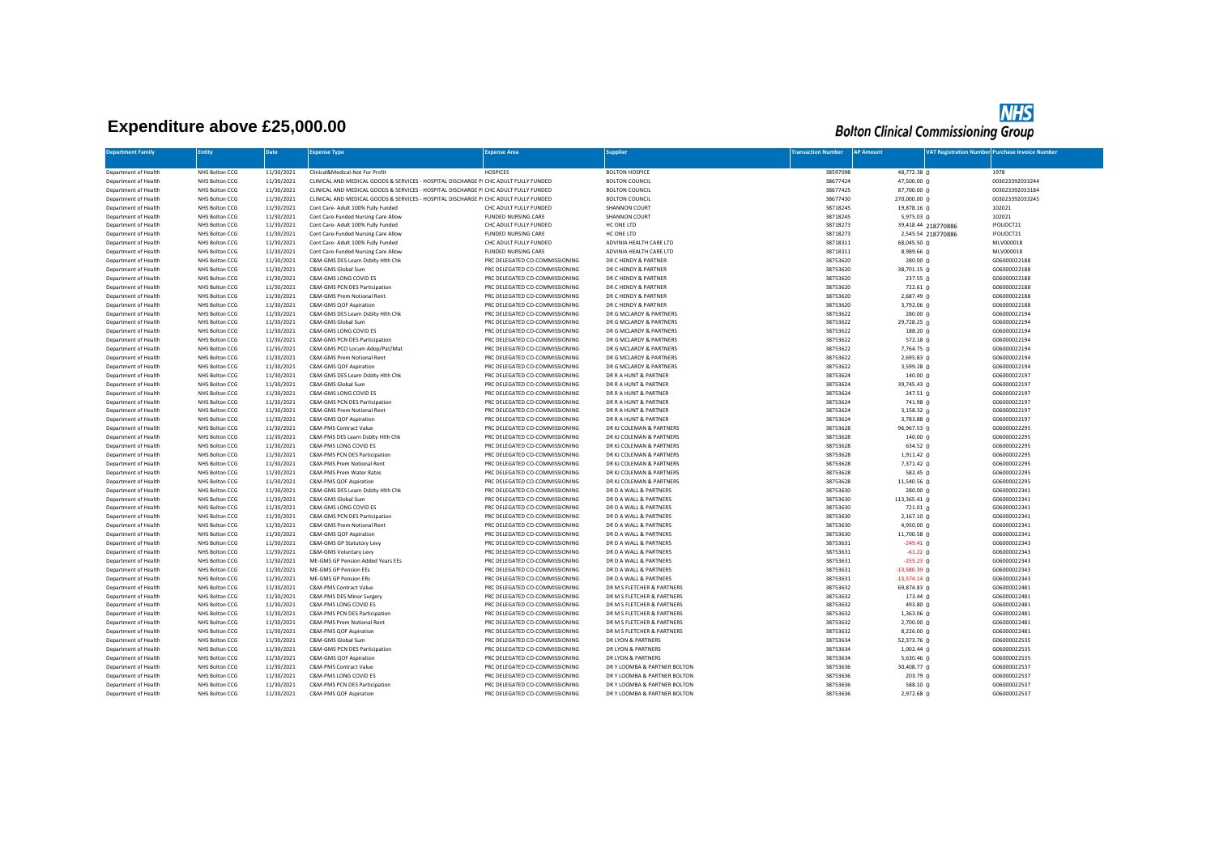## **Expenditure above £25,000.00**

## **NHS**<br>Bolton Clinical Commissioning Group

| <b>Department Family</b>                     | <b>Entity</b>                    | Date                     | <b>Expense Type</b>                                                                  | <b>Expense Area</b>                                              | <b>Supplier</b>                                      | <b>Transaction Number</b> | <b>AP Amount</b>       |                     | <b>JAT Registration Number Purchase Invoice Number</b> |
|----------------------------------------------|----------------------------------|--------------------------|--------------------------------------------------------------------------------------|------------------------------------------------------------------|------------------------------------------------------|---------------------------|------------------------|---------------------|--------------------------------------------------------|
|                                              |                                  |                          |                                                                                      |                                                                  |                                                      |                           |                        |                     |                                                        |
| Department of Health                         | NHS Bolton CCG                   | 11/30/2021               | Clinical&Medical-Not For Profit                                                      | <b>HOSPICES</b>                                                  | <b>BOLTON HOSPICE</b>                                | 38597098                  | 48,772.38 0            |                     | 1978                                                   |
| Department of Health                         | NHS Bolton CCG                   | 11/30/2021               | CLINICAL AND MEDICAL GOODS & SERVICES - HOSPITAL DISCHARGE PI CHC ADULT FULLY FUNDED |                                                                  | <b>BOLTON COUNCIL</b>                                | 38677424                  | 47,500.00 0            |                     | 003023392033244                                        |
| Department of Health                         | NHS Bolton CCG                   | 11/30/2021               | CLINICAL AND MEDICAL GOODS & SERVICES - HOSPITAL DISCHARGE PI CHC ADULT FULLY FUNDED |                                                                  | <b>BOLTON COUNCIL</b>                                | 38677425                  | 87,700.00 0            |                     | 003023392033184                                        |
| Department of Health                         | NHS Bolton CCG                   | 11/30/2021               | CLINICAL AND MEDICAL GOODS & SERVICES - HOSPITAL DISCHARGE PI CHC ADULT FULLY FUNDED |                                                                  | <b>BOLTON COUNCIL</b>                                | 38677430                  | 270,000.00 0           |                     | 003023392033245                                        |
| Department of Health                         | NHS Bolton CCG                   | 11/30/2021               | Cont Care- Adult 100% Fully Funded                                                   | CHC ADULT FULLY FUNDED                                           | SHANNON COURT                                        | 38718245                  | 19,878.16 0            |                     | 102021                                                 |
| Department of Health                         | NHS Bolton CCG                   | 11/30/2021               | Cont Care-Funded Nursing Care Allow                                                  | FUNDED NURSING CARE                                              | <b>SHANNON COURT</b>                                 | 38718245                  | 5,975.03 0             |                     | 102021                                                 |
| Department of Health                         | NHS Bolton CCG                   | 11/30/2021               | Cont Care- Adult 100% Fully Funded                                                   | CHC ADULT FULLY FUNDED                                           | HC ONE LTD                                           | 38718273                  |                        | 39,418.44 218770886 | IFOUOCT21                                              |
| Department of Health                         | NHS Bolton CCG                   | 11/30/2021               | Cont Care-Funded Nursing Care Allow                                                  | <b>FUNDED NURSING CARE</b>                                       | HC ONE LTD                                           | 38718273                  |                        | 2,545.54 218770886  | IFOUOCT21                                              |
| Department of Health                         | NHS Bolton CCG                   | 11/30/2021               | Cont Care- Adult 100% Fully Funded                                                   | CHC ADULT FULLY FUNDED                                           | ADVINIA HEALTH CARE LTD                              | 38718311                  | 68,045.50 0            |                     | MLV000018                                              |
| Department of Health                         | NHS Bolton CCG                   | 11/30/2021               | Cont Care-Funded Nursing Care Allow                                                  | FUNDED NURSING CARE                                              | ADVINIA HEALTH CARE LTD                              | 38718311                  | 8,989.66 0             |                     | MLV000018                                              |
| Department of Health                         | NHS Bolton CCG                   | 11/30/2021               | C&M-GMS DES Learn Dsblty Hith Chk                                                    | PRC DELEGATED CO-COMMISSIONING                                   | DR C HENDY & PARTNER                                 | 38753620                  | 280.00 0               |                     | G06000022188                                           |
| Department of Health                         | NHS Bolton CCG                   | 11/30/2021               | C&M-GMS Global Sum                                                                   | PRC DELEGATED CO-COMMISSIONING                                   | DR C HENDY & PARTNER                                 | 38753620                  | 38,701.15 0            |                     | G06000022188                                           |
| Department of Health                         | NHS Bolton CCG                   | 11/30/2021               | C&M-GMS LONG COVID ES                                                                | PRC DELEGATED CO-COMMISSIONING                                   | DR C HENDY & PARTNER                                 | 38753620                  | 237.55 0               |                     | G06000022188                                           |
| Department of Health                         | NHS Bolton CCG                   | 11/30/2021               | C&M-GMS PCN DES Participation                                                        | PRC DELEGATED CO-COMMISSIONING                                   | DR C HENDY & PARTNER                                 | 38753620                  | $722.61 \n0$           |                     | G06000022188                                           |
| Department of Health                         | NHS Bolton CCG                   | 11/30/2021               | C&M-GMS Prem Notional Rent                                                           | PRC DELEGATED CO-COMMISSIONING                                   | DR C HENDY & PARTNER                                 | 38753620                  | 2,687.49 0             |                     | G06000022188                                           |
| Department of Health                         | NHS Bolton CCG                   | 11/30/2021               | C&M-GMS QOF Aspiration                                                               | PRC DELEGATED CO-COMMISSIONING                                   | DR C HENDY & PARTNER                                 | 38753620                  | 3,792.06 0             |                     | G06000022188                                           |
| Department of Health                         | NHS Bolton CCG                   | 11/30/2021               | C&M-GMS DES Learn Dsblty Hith Chk                                                    | PRC DELEGATED CO-COMMISSIONING                                   | DR G MCLARDY & PARTNERS                              | 38753622                  | 280.00 <sub>0</sub>    |                     | G06000022194                                           |
| Department of Health                         | NHS Bolton CCG                   | 11/30/2021               | C&M-GMS Global Sum                                                                   | PRC DELEGATED CO-COMMISSIONING                                   | DR G MCLARDY & PARTNERS                              | 38753622                  | 29,728.25 0            |                     | G06000022194                                           |
| Department of Health                         | NHS Bolton CCG                   | 11/30/2021               | C&M-GMS LONG COVID ES                                                                | PRC DELEGATED CO-COMMISSIONING                                   | DR G MCLARDY & PARTNERS                              | 38753622                  | 188.20 0               |                     | G06000022194                                           |
| Department of Health                         | NHS Bolton CCG                   | 11/30/2021               | C&M-GMS PCN DES Participation                                                        | PRC DELEGATED CO-COMMISSIONING                                   | DR G MCLARDY & PARTNERS                              | 38753622                  | $572.18$ 0             |                     | G06000022194                                           |
| Department of Health                         | NHS Bolton CCG                   | 11/30/2021               | C&M-GMS PCO Locum Adop/Pat/Mat                                                       | PRC DELEGATED CO-COMMISSIONING                                   | DR G MCLARDY & PARTNERS                              | 38753622                  | 7,764.75 0             |                     | G06000022194                                           |
| Department of Health                         | NHS Bolton CCG                   | 11/30/2021               | C&M-GMS Prem Notional Rent                                                           | PRC DELEGATED CO-COMMISSIONING                                   | DR G MCLARDY & PARTNERS                              | 38753622                  | 2,695.83 0             |                     | G06000022194                                           |
| Department of Health                         | NHS Bolton CCG                   | 11/30/2021               | C&M-GMS QOF Aspiration                                                               | PRC DELEGATED CO-COMMISSIONING                                   | DR G MCLARDY & PARTNERS                              | 38753622                  | 3,599.28 0             |                     | G06000022194                                           |
| Department of Health                         | NHS Bolton CCG                   | 11/30/2021               | C&M-GMS DES Learn Dsblty Hith Chk                                                    | PRC DELEGATED CO-COMMISSIONING                                   | DR R A HUNT & PARTNER                                | 38753624                  | $140.00 \text{ o}$     |                     | G06000022197                                           |
| Department of Health                         | NHS Bolton CCG                   | 11/30/2021               | C&M-GMS Global Sum                                                                   | PRC DELEGATED CO-COMMISSIONING                                   | DR R A HUNT & PARTNER                                | 38753624                  | 39,745.43 0            |                     | G06000022197                                           |
| Department of Health                         | NHS Bolton CCG                   | 11/30/2021               | C&M-GMS LONG COVID ES                                                                | PRC DELEGATED CO-COMMISSIONING                                   | DR R A HUNT & PARTNER                                | 38753624                  | 247.51 0               |                     | G06000022197                                           |
| Department of Health                         | NHS Bolton CCG                   | 11/30/2021               | C&M-GMS PCN DES Participation                                                        | PRC DELEGATED CO-COMMISSIONING                                   | DR R A HUNT & PARTNER                                | 38753624                  | 741.98 0               |                     | G06000022197                                           |
| Department of Health                         | NHS Bolton CCG                   | 11/30/2021               | C&M-GMS Prem Notional Rent                                                           | PRC DELEGATED CO-COMMISSIONING                                   | DR R A HUNT & PARTNER                                | 38753624                  | 3,158.32 0             |                     | G06000022197                                           |
| Department of Health                         | NHS Bolton CCG                   | 11/30/2021               | C&M-GMS QOF Aspiration                                                               | PRC DELEGATED CO-COMMISSIONING                                   | DR R A HUNT & PARTNER                                | 38753624                  | 3,783.88 0             |                     | G06000022197                                           |
| Department of Health                         | NHS Bolton CCG                   | 11/30/2021               | C&M-PMS Contract Value                                                               | PRC DELEGATED CO-COMMISSIONING                                   | DR KJ COLEMAN & PARTNERS                             | 38753628                  | 96,967.53 0            |                     | G06000022295                                           |
| Department of Health                         | NHS Bolton CCG                   | 11/30/2021               | C&M-PMS DES Learn Dsblty Hith Chk                                                    | PRC DELEGATED CO-COMMISSIONING                                   | DR KJ COLEMAN & PARTNERS                             | 38753628                  | 140.00 0               |                     | G06000022295                                           |
| Department of Health                         | NHS Bolton CCG                   | 11/30/2021               | C&M-PMS LONG COVID ES                                                                | PRC DELEGATED CO-COMMISSIONING                                   | DR KJ COLEMAN & PARTNERS                             | 38753628                  | 634.52 0               |                     | G06000022295                                           |
| Department of Health                         | NHS Bolton CCG                   | 11/30/2021               | C&M-PMS PCN DES Participation                                                        | PRC DELEGATED CO-COMMISSIONING                                   | DR KJ COLEMAN & PARTNERS                             | 38753628                  | 1,911.42 0             |                     | G06000022295                                           |
| Department of Health<br>Department of Health | NHS Bolton CCG<br>NHS Bolton CCG | 11/30/2021<br>11/30/2021 | C&M-PMS Prem Notional Rent<br>C&M-PMS Prem Water Rates                               | PRC DELEGATED CO-COMMISSIONING<br>PRC DELEGATED CO-COMMISSIONING | DR KJ COLEMAN & PARTNERS<br>DR KJ COLEMAN & PARTNERS | 38753628<br>38753628      | 7,371.42 0<br>582.45 0 |                     | G06000022295<br>G06000022295                           |
| Department of Health                         | NHS Bolton CCG                   | 11/30/2021               | C&M-PMS QOF Aspiration                                                               | PRC DELEGATED CO-COMMISSIONING                                   | DR KJ COLEMAN & PARTNERS                             | 38753628                  | 11,540.56 0            |                     | G06000022295                                           |
| Department of Health                         | NHS Bolton CCG                   | 11/30/2021               | C&M-GMS DES Learn Dsblty Hith Chk                                                    | PRC DELEGATED CO-COMMISSIONING                                   | DR D A WALL & PARTNERS                               | 38753630                  | 280.00 0               |                     | G06000022341                                           |
| Department of Health                         | NHS Bolton CCG                   | 11/30/2021               | C&M-GMS Global Sum                                                                   | PRC DELEGATED CO-COMMISSIONING                                   | DR D A WALL & PARTNERS                               | 38753630                  | 113,365.41 0           |                     | G06000022341                                           |
| Department of Health                         | NHS Bolton CCG                   | 11/30/2021               | C&M-GMS LONG COVID ES                                                                | PRC DELEGATED CO-COMMISSIONING                                   | DR D A WALL & PARTNERS                               | 38753630                  | 721.01 0               |                     | G06000022341                                           |
| Department of Health                         | NHS Bolton CCG                   | 11/30/2021               | C&M-GMS PCN DES Participation                                                        | PRC DELEGATED CO-COMMISSIONING                                   | DR D A WALL & PARTNERS                               | 38753630                  | 2,167.10 0             |                     | G06000022341                                           |
| Department of Health                         | NHS Bolton CCG                   | 11/30/2021               | C&M-GMS Prem Notional Rent                                                           | PRC DELEGATED CO-COMMISSIONING                                   | DR D A WALL & PARTNERS                               | 38753630                  | 4,950.00 0             |                     | G06000022341                                           |
| Department of Health                         | NHS Bolton CCG                   | 11/30/2021               | C&M-GMS QOF Aspiration                                                               | PRC DELEGATED CO-COMMISSIONING                                   | DR D A WALL & PARTNERS                               | 38753630                  | 11,700.58 0            |                     | G06000022341                                           |
| Department of Health                         | NHS Bolton CCG                   | 11/30/2021               | C&M-GMS GP Statutory Levy                                                            | PRC DELEGATED CO-COMMISSIONING                                   | DR D A WALL & PARTNERS                               | 38753631                  | $-249.41$ 0            |                     | G06000022343                                           |
| Department of Health                         | NHS Bolton CCG                   | 11/30/2021               | C&M-GMS Voluntary Levy                                                               | PRC DELEGATED CO-COMMISSIONING                                   | DR D A WALL & PARTNERS                               | 38753631                  | $-61.22$ 0             |                     | G06000022343                                           |
| Department of Health                         | NHS Bolton CCG                   | 11/30/2021               | ME-GMS GP Pension Added Years EEs                                                    | PRC DELEGATED CO-COMMISSIONING                                   | DR D A WALL & PARTNERS                               | 38753631                  | $-255.23$ 0            |                     | G06000022343                                           |
| Department of Health                         | NHS Bolton CCG                   | 11/30/2021               | ME-GMS GP Pension EEs                                                                | PRC DELEGATED CO-COMMISSIONING                                   | DR D A WALL & PARTNERS                               | 38753631                  | $-13,580.39$ 0         |                     | G06000022343                                           |
| Department of Health                         | NHS Bolton CCG                   | 11/30/2021               | ME-GMS GP Pension ERs                                                                | PRC DELEGATED CO-COMMISSIONING                                   | DR D A WALL & PARTNERS                               | 38753631                  | $-13,574.14$ 0         |                     | G06000022343                                           |
| Department of Health                         | NHS Bolton CCG                   | 11/30/2021               | C&M-PMS Contract Value                                                               | PRC DELEGATED CO-COMMISSIONING                                   | DR M S FLETCHER & PARTNERS                           | 38753632                  | 69,874.83 0            |                     | G06000022481                                           |
| Department of Health                         | NHS Bolton CCG                   | 11/30/2021               | C&M-PMS DES Minor Surgery                                                            | PRC DELEGATED CO-COMMISSIONING                                   | DR M S FLETCHER & PARTNERS                           | 38753632                  | $173.44 \Omega$        |                     | G06000022481                                           |
| Department of Health                         | NHS Bolton CCG                   | 11/30/2021               | C&M-PMS LONG COVID ES                                                                | PRC DELEGATED CO-COMMISSIONING                                   | DR M S FLETCHER & PARTNERS                           | 38753632                  | 493.80 0               |                     | G06000022481                                           |
| Department of Health                         | NHS Bolton CCG                   | 11/30/2021               | C&M-PMS PCN DES Participation                                                        | PRC DELEGATED CO-COMMISSIONING                                   | DR M S FLETCHER & PARTNERS                           | 38753632                  | 1,363.06 0             |                     | G06000022481                                           |
| Department of Health                         | NHS Bolton CCG                   | 11/30/2021               | C&M-PMS Prem Notional Rent                                                           | PRC DELEGATED CO-COMMISSIONING                                   | DR M S FLETCHER & PARTNERS                           | 38753632                  | 2,700.00 0             |                     | G06000022481                                           |
| Department of Health                         | NHS Bolton CCG                   | 11/30/2021               | C&M-PMS QOF Aspiration                                                               | PRC DELEGATED CO-COMMISSIONING                                   | DR M S FLETCHER & PARTNERS                           | 38753632                  | 8,226.00 0             |                     | G06000022481                                           |
| Department of Health                         | NHS Bolton CCG                   | 11/30/2021               | C&M-GMS Global Sum                                                                   | PRC DELEGATED CO-COMMISSIONING                                   | DR LYON & PARTNERS                                   | 38753634                  | 52,373.76 0            |                     | G06000022535                                           |
| Department of Health                         | NHS Bolton CCG                   | 11/30/2021               | C&M-GMS PCN DES Participation                                                        | PRC DELEGATED CO-COMMISSIONING                                   | DR LYON & PARTNERS                                   | 38753634                  | $1,002.44$ 0           |                     | G06000022535                                           |
| Department of Health                         | NHS Bolton CCG                   | 11/30/2021               | C&M-GMS QOF Aspiration                                                               | PRC DELEGATED CO-COMMISSIONING                                   | DR LYON & PARTNERS                                   | 38753634                  | 5,630.46 0             |                     | G06000022535                                           |
| Department of Health                         | NHS Bolton CCG                   | 11/30/2021               | C&M-PMS Contract Value                                                               | PRC DELEGATED CO-COMMISSIONING                                   | DR Y LOOMBA & PARTNER BOLTON                         | 38753636                  | 30,408.77 0            |                     | G06000022537                                           |
| Department of Health                         | NHS Bolton CCG                   | 11/30/2021               | C&M-PMS LONG COVID ES                                                                | PRC DELEGATED CO-COMMISSIONING                                   | DR Y LOOMBA & PARTNER BOLTON                         | 38753636                  | 203.79 0               |                     | G06000022537                                           |
| Department of Health                         | NHS Bolton CCG                   | 11/30/2021               | C&M-PMS PCN DES Participation                                                        | PRC DELEGATED CO-COMMISSIONING                                   | DR Y LOOMBA & PARTNER BOLTON                         | 38753636                  | 588.10 0               |                     | G06000022537                                           |
| Department of Health                         | NHS Bolton CCG                   | 11/30/2021               | C&M-PMS QOF Aspiration                                                               | PRC DELEGATED CO-COMMISSIONING                                   | DR Y LOOMBA & PARTNER BOLTON                         | 38753636                  | 2,972.68 0             |                     | G06000022537                                           |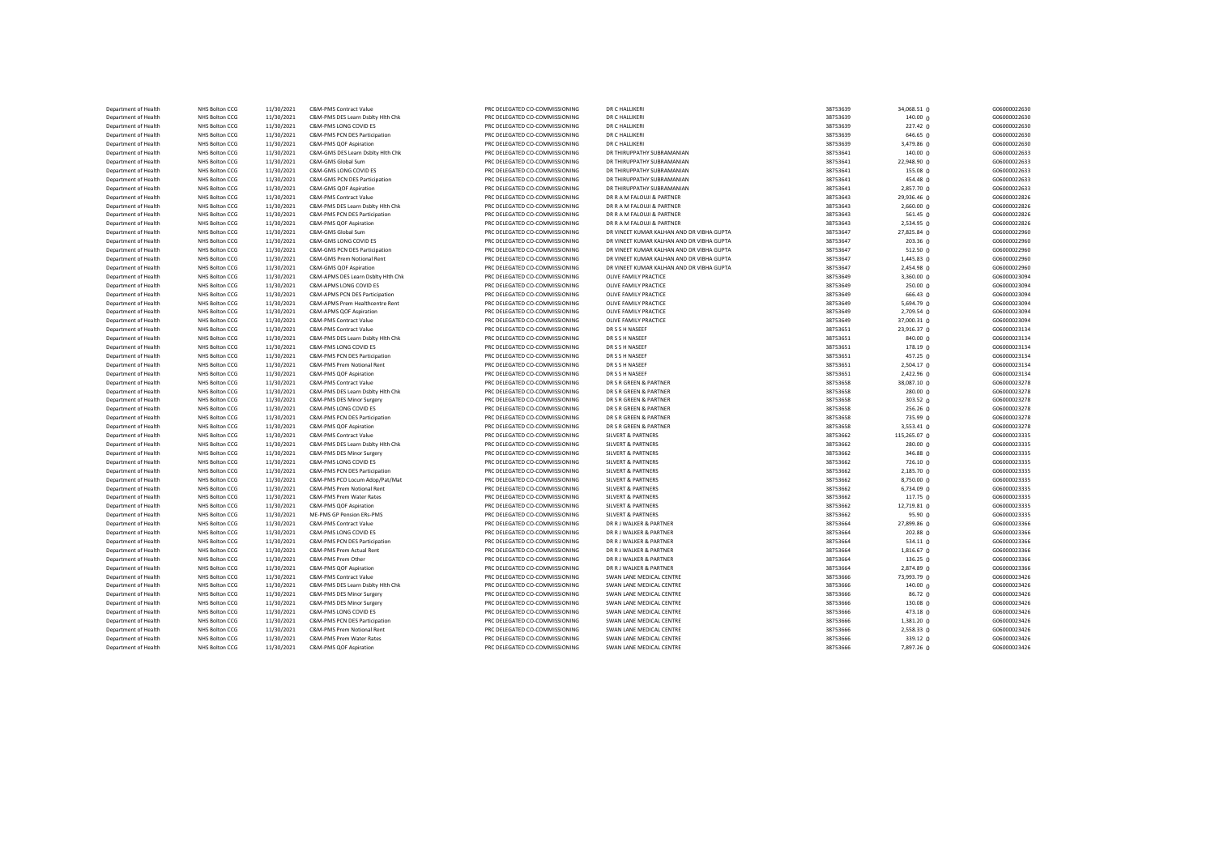| Department of Health                         | <b>NHS Bolton CCG</b>            | 11/30/2021               | <b>C&amp;M-PMS Contract Value</b>                      | PRC DELEGATED CO-COMMISSIONING                                   | DR C HALLIKERI                                     | 38753639             | 34,068.51 0         | G06000022630                 |
|----------------------------------------------|----------------------------------|--------------------------|--------------------------------------------------------|------------------------------------------------------------------|----------------------------------------------------|----------------------|---------------------|------------------------------|
| Department of Health                         | NHS Bolton CCG                   | 11/30/2021               | C&M-PMS DES Learn Dsblty Hlth Chk                      | PRC DELEGATED CO-COMMISSIONING                                   | DR C HALLIKERI                                     | 38753639             | 140.00 0            | G06000022630                 |
| Department of Health                         | NHS Bolton CCG                   | 11/30/2021               | C&M-PMS LONG COVID ES                                  | PRC DELEGATED CO-COMMISSIONING                                   | DR C HALLIKERI                                     | 38753639             | 227.42 0            | G06000022630                 |
| Department of Health                         | NHS Bolton CCG                   | 11/30/2021               | C&M-PMS PCN DES Participation                          | PRC DELEGATED CO-COMMISSIONING                                   | DR C HALLIKERI                                     | 38753639             | 646.65 0            | G06000022630                 |
| Department of Health                         | NHS Bolton CCG                   | 11/30/2021               | C&M-PMS QOF Aspiration                                 | PRC DELEGATED CO-COMMISSIONING                                   | DR C HALLIKERI                                     | 38753639             | 3,479.86 0          | G06000022630                 |
| Department of Health                         | <b>NHS Bolton CCG</b>            | 11/30/2021               | C&M-GMS DES Learn Dsblty Hlth Chk                      | PRC DELEGATED CO-COMMISSIONING                                   | DR THIRUPPATHY SUBRAMANIAN                         | 38753641             | 140.00 0            | G06000022633                 |
| Department of Health                         | <b>NHS Bolton CCG</b>            | 11/30/2021               | C&M-GMS Global Sum                                     | PRC DELEGATED CO-COMMISSIONING                                   | DR THIRUPPATHY SUBRAMANIAN                         | 38753641             | 22,948.90 0         | G06000022633                 |
| Department of Health                         | <b>NHS Bolton CCG</b>            | 11/30/2021               | C&M-GMS LONG COVID ES                                  | PRC DELEGATED CO-COMMISSIONING                                   | DR THIRUPPATHY SUBRAMANIAN                         | 38753641             | 155.08 0            | G06000022633                 |
| Department of Health                         | NHS Bolton CCG                   | 11/30/2021               | C&M-GMS PCN DES Participation                          | PRC DELEGATED CO-COMMISSIONING                                   | DR THIRUPPATHY SUBRAMANIAN                         | 38753641             | 454.48 0            | G06000022633                 |
| Department of Health                         | NHS Bolton CCG                   | 11/30/2021               | C&M-GMS QOF Aspiration                                 | PRC DELEGATED CO-COMMISSIONING                                   | DR THIRUPPATHY SUBRAMANIAN                         | 38753641             | 2,857.70 0          | G06000022633                 |
| Department of Health                         | NHS Bolton CCG                   | 11/30/2021               | C&M-PMS Contract Value                                 | PRC DELEGATED CO-COMMISSIONING                                   | DR R A M FALOUJI & PARTNER                         | 38753643             | 29,936.46 0         | G06000022826                 |
| Department of Health                         | NHS Bolton CCG                   | 11/30/2021               | C&M-PMS DES Learn Dsblty Hlth Chk                      | PRC DELEGATED CO-COMMISSIONING                                   | DR R A M FALOUJI & PARTNER                         | 38753643             | 2,660.00 0          | G06000022826                 |
| Department of Health                         | <b>NHS Bolton CCG</b>            | 11/30/2021               | C&M-PMS PCN DES Participation                          | PRC DELEGATED CO-COMMISSIONING                                   | DR R A M FALOUJI & PARTNER                         | 38753643             | 561.45 $\Omega$     | G06000022826                 |
| Department of Health                         | NHS Bolton CCG                   | 11/30/2021               | C&M-PMS QOF Aspiration                                 | PRC DELEGATED CO-COMMISSIONING                                   | DR R A M FALOUJI & PARTNER                         | 38753643             | 2,534.95 0          | G06000022826                 |
| Department of Health                         | NHS Bolton CCG                   | 11/30/2021               | C&M-GMS Global Sum                                     | PRC DELEGATED CO-COMMISSIONING                                   | DR VINEET KUMAR KALHAN AND DR VIBHA GUPTA          | 38753647             | 27,825.84 0         | G06000022960                 |
| Department of Health                         | NHS Bolton CCG                   | 11/30/2021               | C&M-GMS LONG COVID ES                                  | PRC DELEGATED CO-COMMISSIONING                                   | DR VINEET KUMAR KALHAN AND DR VIBHA GUPTA          | 38753647             | 203.36 <sub>0</sub> | G06000022960                 |
| Department of Health                         | NHS Bolton CCG                   | 11/30/2021               | C&M-GMS PCN DES Participation                          | PRC DELEGATED CO-COMMISSIONING                                   | DR VINEET KUMAR KALHAN AND DR VIBHA GUPTA          | 38753647             | 512.50 $0$          | G06000022960                 |
| Department of Health                         | NHS Bolton CCG                   | 11/30/2021               | C&M-GMS Prem Notional Rent                             | PRC DELEGATED CO-COMMISSIONING                                   | DR VINEET KUMAR KALHAN AND DR VIBHA GUPTA          | 38753647             | 1,445.83 0          | G06000022960                 |
| Department of Health                         | <b>NHS Bolton CCG</b>            | 11/30/2021               | C&M-GMS QOF Aspiration                                 | PRC DELEGATED CO-COMMISSIONING                                   | DR VINEET KUMAR KALHAN AND DR VIBHA GUPTA          | 38753647             | $2,454.98$ 0        | G06000022960                 |
| Department of Health                         | NHS Bolton CCG                   | 11/30/2021               | C&M-APMS DES Learn Dsblty Hith Chk                     | PRC DELEGATED CO-COMMISSIONING                                   | OLIVE FAMILY PRACTICE                              | 38753649             | $3,360.00$ $0$      | G06000023094                 |
| Department of Health                         | NHS Bolton CCG                   | 11/30/2021               | C&M-APMS LONG COVID ES                                 | PRC DELEGATED CO-COMMISSIONING                                   | OLIVE FAMILY PRACTICE                              | 38753649             | 250.00 0            | G06000023094                 |
| Department of Health                         | NHS Bolton CCG                   | 11/30/2021               | C&M-APMS PCN DES Participation                         | PRC DELEGATED CO-COMMISSIONING                                   | OLIVE FAMILY PRACTICE                              | 38753649             | $666.43 \Omega$     | G06000023094                 |
| Department of Health                         | NHS Bolton CCG                   | 11/30/2021               | C&M-APMS Prem Healthcentre Rent                        | PRC DELEGATED CO-COMMISSIONING                                   | OLIVE FAMILY PRACTICE                              | 38753649             | 5,694.79 $\Omega$   | G06000023094                 |
| Department of Health                         | NHS Bolton CCG                   | 11/30/2021               | C&M-APMS QOF Aspiration                                | PRC DELEGATED CO-COMMISSIONING                                   | OLIVE FAMILY PRACTICE                              | 38753649             | 2,709.54 0          | G06000023094                 |
| Department of Health                         | <b>NHS Bolton CCG</b>            | 11/30/2021               | C&M-PMS Contract Value                                 | PRC DELEGATED CO-COMMISSIONING                                   | OLIVE FAMILY PRACTICE                              | 38753649             | 37,000.31 0         | G06000023094                 |
| Department of Health                         | NHS Bolton CCG                   | 11/30/2021               | C&M-PMS Contract Value                                 | PRC DELEGATED CO-COMMISSIONING                                   | DR S S H NASEEF                                    | 38753651             | 23,916.37 0         | G06000023134                 |
| Department of Health                         | NHS Bolton CCG                   | 11/30/2021               | C&M-PMS DES Learn Dsblty Hlth Chk                      | PRC DELEGATED CO-COMMISSIONING                                   | DR S S H NASEEF                                    | 38753651             | 840.00 0            | G06000023134                 |
| Department of Health                         | NHS Bolton CCG                   | 11/30/2021               | C&M-PMS LONG COVID ES                                  | PRC DELEGATED CO-COMMISSIONING                                   | DR S S H NASEEF                                    | 38753651             | 178.19 <sub>0</sub> | G06000023134                 |
| Department of Health                         | NHS Bolton CCG                   | 11/30/2021               | C&M-PMS PCN DES Participation                          | PRC DELEGATED CO-COMMISSIONING                                   | DR S S H NASEEF                                    | 38753651             | $457.25 \Omega$     | G06000023134                 |
| Department of Health                         | NHS Bolton CCG                   | 11/30/2021               | C&M-PMS Prem Notional Rent                             | PRC DELEGATED CO-COMMISSIONING                                   | DR S S H NASEEF                                    | 38753651             | 2,504.17 0          | G06000023134                 |
| Department of Health                         | NHS Bolton CCG                   | 11/30/2021               | C&M-PMS QOF Aspiration                                 | PRC DELEGATED CO-COMMISSIONING                                   | DR S S H NASEEF                                    | 38753651             | $2,422.96$ 0        | G06000023134                 |
| Department of Health                         | NHS Bolton CCG                   | 11/30/2021               | C&M-PMS Contract Value                                 | PRC DELEGATED CO-COMMISSIONING                                   | DR S R GREEN & PARTNER                             | 38753658             | 38,087.10 0         | G06000023278                 |
| Department of Health                         | NHS Bolton CCG                   | 11/30/2021               | C&M-PMS DES Learn Dsblty Hlth Chk                      | PRC DELEGATED CO-COMMISSIONING                                   | DR S R GREEN & PARTNER                             | 38753658             | 280.00 0            | G06000023278                 |
| Department of Health                         | NHS Bolton CCG                   | 11/30/2021               | C&M-PMS DES Minor Surgery                              | PRC DELEGATED CO-COMMISSIONING                                   | DR S R GREEN & PARTNER                             | 38753658             | 303.52 0            | G06000023278                 |
| Department of Health                         | NHS Bolton CCG                   | 11/30/2021               | C&M-PMS LONG COVID ES                                  | PRC DELEGATED CO-COMMISSIONING                                   | DR S R GREEN & PARTNER                             | 38753658             | $256.26$ 0          | G06000023278                 |
| Department of Health                         | NHS Bolton CCG                   | 11/30/2021               | C&M-PMS PCN DES Participation                          | PRC DELEGATED CO-COMMISSIONING                                   | DR S R GREEN & PARTNER                             | 38753658             | 735.99 0            | G06000023278                 |
| Department of Health                         | NHS Bolton CCG                   | 11/30/2021               | C&M-PMS QOF Aspiration                                 | PRC DELEGATED CO-COMMISSIONING                                   | DR S R GREEN & PARTNER                             | 38753658             | 3,553.41 0          | G06000023278                 |
| Department of Health                         | NHS Bolton CCG                   | 11/30/2021               | C&M-PMS Contract Value                                 | PRC DELEGATED CO-COMMISSIONING                                   | <b>SILVERT &amp; PARTNERS</b>                      | 38753662             | 115,265.07 0        | G06000023335                 |
| Department of Health                         | NHS Bolton CCG                   | 11/30/2021               | C&M-PMS DES Learn Dsblty Hlth Chk                      | PRC DELEGATED CO-COMMISSIONING                                   | <b>SILVERT &amp; PARTNERS</b>                      | 38753662             | 280.00 0            | G06000023335                 |
| Department of Health                         | NHS Bolton CCG                   | 11/30/2021               | C&M-PMS DES Minor Surgery                              | PRC DELEGATED CO-COMMISSIONING                                   | <b>SILVERT &amp; PARTNERS</b>                      | 38753662             | $346.88$ 0          | G06000023335                 |
| Department of Health                         | <b>NHS Bolton CCG</b>            | 11/30/2021               | C&M-PMS LONG COVID ES                                  | PRC DELEGATED CO-COMMISSIONING                                   | <b>SILVERT &amp; PARTNERS</b>                      | 38753662             | $726.10$ 0          | G06000023335                 |
| Department of Health                         | NHS Bolton CCG                   | 11/30/2021               | C&M-PMS PCN DES Participation                          | PRC DELEGATED CO-COMMISSIONING                                   | <b>SILVERT &amp; PARTNERS</b>                      | 38753662             | 2,185.70 0          | G06000023335                 |
| Department of Health                         | NHS Bolton CCG                   | 11/30/2021               | C&M-PMS PCO Locum Adop/Pat/Mat                         | PRC DELEGATED CO-COMMISSIONING                                   | <b>SILVERT &amp; PARTNERS</b>                      | 38753662             | 8,750.00 0          | G06000023335                 |
| Department of Health                         | NHS Bolton CCG                   | 11/30/2021               | C&M-PMS Prem Notional Rent                             | PRC DELEGATED CO-COMMISSIONING                                   | <b>SILVERT &amp; PARTNERS</b>                      | 38753662             | $6,734.09$ 0        | G06000023335                 |
| Department of Health                         | NHS Bolton CCG                   | 11/30/2021               | C&M-PMS Prem Water Rates                               | PRC DELEGATED CO-COMMISSIONING                                   | <b>SILVERT &amp; PARTNERS</b>                      | 38753662             | 117.75 0            | G06000023335                 |
| Department of Health                         | NHS Bolton CCG                   | 11/30/2021               | C&M-PMS QOF Aspiration                                 | PRC DELEGATED CO-COMMISSIONING                                   | <b>SILVERT &amp; PARTNERS</b>                      | 38753662             | 12,719.81 0         | G06000023335                 |
| Department of Health                         | NHS Bolton CCG                   | 11/30/2021               | ME-PMS GP Pension ERs-PMS                              | PRC DELEGATED CO-COMMISSIONING                                   | <b>SILVERT &amp; PARTNERS</b>                      | 38753662             | 95.90 <sub>0</sub>  | G06000023335                 |
|                                              |                                  |                          |                                                        |                                                                  |                                                    | 38753664             |                     | G06000023366                 |
| Department of Health                         | NHS Bolton CCG                   | 11/30/2021               | C&M-PMS Contract Value                                 | PRC DELEGATED CO-COMMISSIONING                                   | DR R J WALKER & PARTNER                            |                      | 27,899.86 0         |                              |
| Department of Health<br>Department of Health | NHS Bolton CCG<br>NHS Bolton CCG | 11/30/2021<br>11/30/2021 | C&M-PMS LONG COVID ES<br>C&M-PMS PCN DES Participation | PRC DELEGATED CO-COMMISSIONING<br>PRC DELEGATED CO-COMMISSIONING | DR R J WALKER & PARTNER<br>DR R J WALKER & PARTNER | 38753664<br>38753664 | $202.88$ 0          | G06000023366<br>G06000023366 |
|                                              |                                  |                          |                                                        |                                                                  |                                                    |                      | $534.11$ 0          |                              |
| Department of Health                         | NHS Bolton CCG                   | 11/30/2021               | C&M-PMS Prem Actual Rent<br>C&M-PMS Prem Other         | PRC DELEGATED CO-COMMISSIONING                                   | DR R J WALKER & PARTNER                            | 38753664             | 1,816.67 0          | G06000023366                 |
| Department of Health                         | NHS Bolton CCG                   | 11/30/2021               |                                                        | PRC DELEGATED CO-COMMISSIONING                                   | DR R J WALKER & PARTNER                            | 38753664             | $136.25 \Omega$     | G06000023366                 |
| Department of Health                         | NHS Bolton CCG                   | 11/30/2021               | C&M-PMS QOF Aspiration                                 | PRC DELEGATED CO-COMMISSIONING                                   | DR R J WALKER & PARTNER                            | 38753664             | 2,874.89 0          | G06000023366                 |
| Department of Health                         | NHS Bolton CCG                   | 11/30/2021               | C&M-PMS Contract Value                                 | PRC DELEGATED CO-COMMISSIONING                                   | SWAN LANE MEDICAL CENTRE                           | 38753666             | 73,993.79 0         | G06000023426                 |
| Department of Health                         | NHS Bolton CCG                   | 11/30/2021               | C&M-PMS DES Learn Dsblty Hlth Chk                      | PRC DELEGATED CO-COMMISSIONING                                   | SWAN LANE MEDICAL CENTRE                           | 38753666             | 140.000             | G06000023426                 |
| Department of Health                         | NHS Bolton CCG                   | 11/30/2021               | C&M-PMS DES Minor Surgery                              | PRC DELEGATED CO-COMMISSIONING                                   | SWAN LANE MEDICAL CENTRE                           | 38753666             | 86.72 <sub>0</sub>  | G06000023426                 |
| Department of Health                         | NHS Bolton CCG                   | 11/30/2021               | C&M-PMS DES Minor Surgery                              | PRC DELEGATED CO-COMMISSIONING                                   | SWAN LANE MEDICAL CENTRE                           | 38753666             | 130.08 0            | G06000023426                 |
| Department of Health                         | NHS Bolton CCG                   | 11/30/2021               | C&M-PMS LONG COVID ES                                  | PRC DELEGATED CO-COMMISSIONING                                   | SWAN LANE MEDICAL CENTRE                           | 38753666             | 473.18 0            | G06000023426                 |
| Department of Health                         | NHS Bolton CCG                   | 11/30/2021               | C&M-PMS PCN DES Participation                          | PRC DELEGATED CO-COMMISSIONING                                   | SWAN LANE MEDICAL CENTRE                           | 38753666             | $1,381.20$ 0        | G06000023426                 |
| Department of Health                         | NHS Bolton CCG                   | 11/30/2021               | C&M-PMS Prem Notional Rent                             | PRC DELEGATED CO-COMMISSIONING                                   | SWAN LANE MEDICAL CENTRE                           | 38753666             | 2,558.33 0          | G06000023426                 |
| Department of Health                         | NHS Bolton CCG                   | 11/30/2021               | C&M-PMS Prem Water Rates                               | PRC DELEGATED CO-COMMISSIONING                                   | SWAN LANE MEDICAL CENTRE                           | 38753666             | 339.12 0            | G06000023426                 |
| Department of Health                         | NHS Bolton CCG                   | 11/30/2021               | C&M-PMS QOF Aspiration                                 | PRC DELEGATED CO-COMMISSIONING                                   | SWAN LANE MEDICAL CENTRE                           | 38753666             | 7,897.26 0          | G06000023426                 |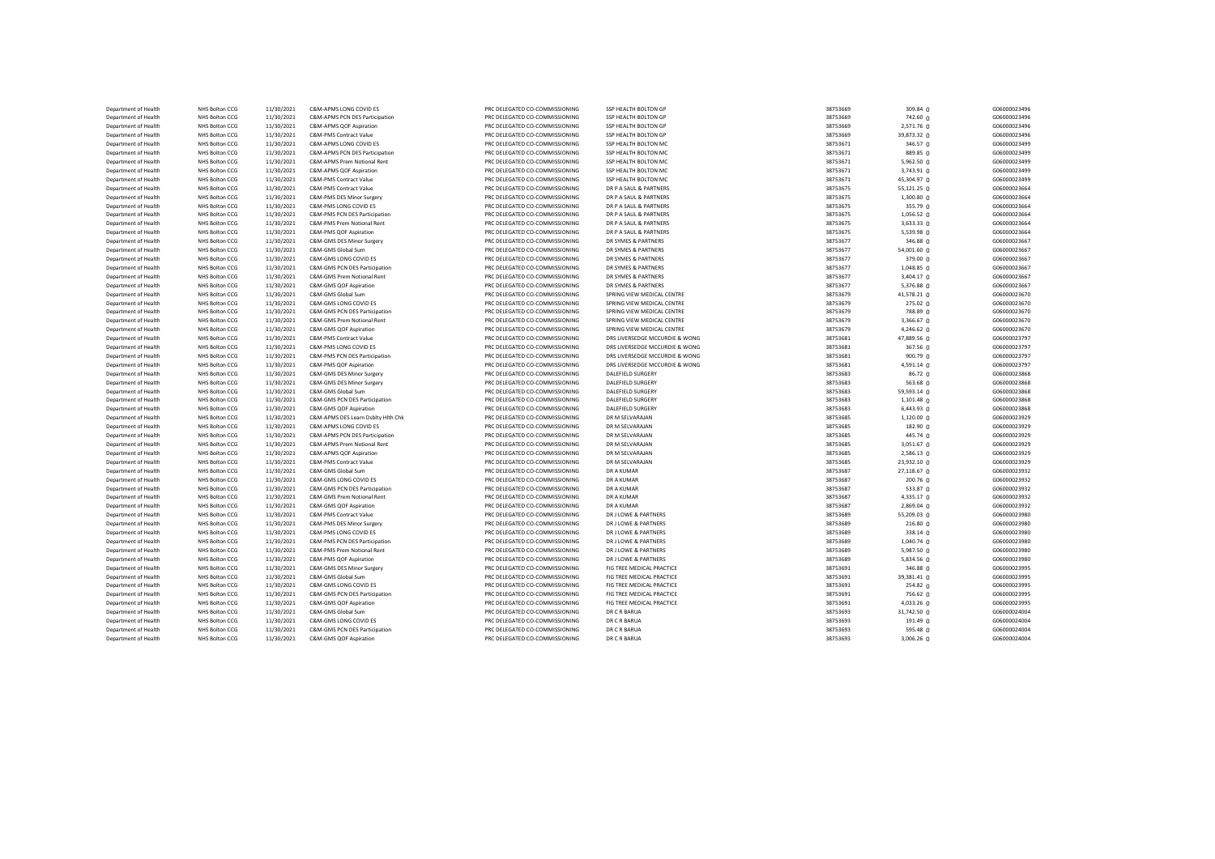| Department of Health | NHS Bolton CCG                          | 11/30/2021 | C&M-APMS LONG COVID ES                              | PRC DELEGATED CO-COMMISSIONING                                   | SSP HEALTH BOLTON GP                          | 38753669 | 309.84 0        | G06000023496 |
|----------------------|-----------------------------------------|------------|-----------------------------------------------------|------------------------------------------------------------------|-----------------------------------------------|----------|-----------------|--------------|
| Department of Health | NHS Bolton CCG                          | 11/30/2021 | C&M-APMS PCN DES Participation                      | PRC DELEGATED CO-COMMISSIONING                                   | SSP HEALTH BOLTON GP                          | 38753669 | 742.60 0        | G06000023496 |
| Department of Health | NHS Bolton CCG                          | 11/30/2021 | C&M-APMS QOF Aspiration                             | PRC DELEGATED CO-COMMISSIONING                                   | SSP HEALTH BOLTON GP                          | 38753669 | 2,571.76 0      | G06000023496 |
| Department of Health | NHS Bolton CCG                          | 11/30/2021 | C&M-PMS Contract Value                              | PRC DELEGATED CO-COMMISSIONING                                   | SSP HEALTH BOLTON GP                          | 38753669 | 39,873.32 0     | G06000023496 |
| Department of Health | NHS Bolton CCG                          | 11/30/2021 | C&M-APMS LONG COVID ES                              | PRC DELEGATED CO-COMMISSIONING                                   | SSP HEALTH BOLTON MC                          | 38753671 | 346.57 0        | G06000023499 |
| Department of Health | NHS Bolton CCG                          | 11/30/2021 | C&M-APMS PCN DES Participation                      | PRC DELEGATED CO-COMMISSIONING                                   | SSP HEALTH BOLTON MC                          | 38753671 | 889.85 0        | G06000023499 |
| Department of Health | NHS Bolton CCG                          | 11/30/2021 | C&M-APMS Prem Notional Rent                         | PRC DELEGATED CO-COMMISSIONING                                   | SSP HEALTH BOLTON MC                          | 38753671 | 5,962.50 0      | G06000023499 |
| Department of Health | NHS Bolton CCG                          | 11/30/2021 | C&M-APMS QOF Aspiration                             | PRC DELEGATED CO-COMMISSIONING                                   | SSP HEALTH BOLTON MC                          | 38753671 | 3,743.91 0      | G06000023499 |
| Department of Health | NHS Bolton CCG                          | 11/30/2021 | C&M-PMS Contract Value                              | PRC DELEGATED CO-COMMISSIONING                                   | SSP HEALTH BOLTON MC                          | 38753671 | 45,304.97 0     | G06000023499 |
| Department of Health | <b>NHS Bolton CCG</b>                   | 11/30/2021 | C&M-PMS Contract Value                              | PRC DELEGATED CO-COMMISSIONING                                   | DR P A SAUL & PARTNERS                        | 38753675 | 55,121.25 0     | G06000023664 |
| Department of Health | NHS Bolton CCG                          | 11/30/2021 | C&M-PMS DES Minor Surgery                           | PRC DELEGATED CO-COMMISSIONING                                   | DR P A SAUL & PARTNERS                        | 38753675 | 1,300.80 0      | G06000023664 |
| Department of Health | NHS Bolton CCG                          | 11/30/2021 | C&M-PMS LONG COVID ES                               | PRC DELEGATED CO-COMMISSIONING                                   | DR P A SAUL & PARTNERS                        | 38753675 | 355.79 0        | G06000023664 |
| Department of Health | <b>NHS Bolton CCG</b>                   | 11/30/2021 | C&M-PMS PCN DES Participation                       | PRC DELEGATED CO-COMMISSIONING                                   | DR P A SAUL & PARTNERS                        | 38753675 | 1,056.52 0      | G06000023664 |
| Department of Health | <b>NHS Bolton CCG</b>                   | 11/30/2021 | C&M-PMS Prem Notional Rent                          | PRC DELEGATED CO-COMMISSIONING                                   | DR P A SAUL & PARTNERS                        | 38753675 | 3,633.33 0      | G06000023664 |
| Department of Health |                                         | 11/30/2021 |                                                     |                                                                  |                                               | 38753675 | 5,539.98 0      | G06000023664 |
| Department of Health | <b>NHS Bolton CCG</b><br>NHS Bolton CCG |            | C&M-PMS QOF Aspiration<br>C&M-GMS DES Minor Surgery | PRC DELEGATED CO-COMMISSIONING<br>PRC DELEGATED CO-COMMISSIONING | DR P A SAUL & PARTNERS<br>DR SYMES & PARTNERS | 38753677 |                 | G06000023667 |
| Department of Health | NHS Bolton CCG                          | 11/30/2021 | C&M-GMS Global Sum                                  | PRC DELEGATED CO-COMMISSIONING                                   | DR SYMES & PARTNERS                           | 38753677 | 346.88 0        | G06000023667 |
|                      |                                         | 11/30/2021 |                                                     |                                                                  |                                               |          | 54,001.60 0     |              |
| Department of Health | NHS Bolton CCG                          | 11/30/2021 | C&M-GMS LONG COVID ES                               | PRC DELEGATED CO-COMMISSIONING                                   | DR SYMES & PARTNERS                           | 38753677 | 379.00 0        | G06000023667 |
| Department of Health | NHS Bolton CCG                          | 11/30/2021 | C&M-GMS PCN DES Participation                       | PRC DELEGATED CO-COMMISSIONING                                   | DR SYMES & PARTNERS                           | 38753677 | $1,048.85$ 0    | G06000023667 |
| Department of Health | <b>NHS Bolton CCG</b>                   | 11/30/2021 | C&M-GMS Prem Notional Rent                          | PRC DELEGATED CO-COMMISSIONING                                   | DR SYMES & PARTNERS                           | 38753677 | 3,404.17 0      | G06000023667 |
| Department of Health | NHS Bolton CCG                          | 11/30/2021 | C&M-GMS QOF Aspiration                              | PRC DELEGATED CO-COMMISSIONING                                   | DR SYMES & PARTNERS                           | 38753677 | 5,376.88 0      | G06000023667 |
| Department of Health | NHS Bolton CCG                          | 11/30/2021 | C&M-GMS Global Sum                                  | PRC DELEGATED CO-COMMISSIONING                                   | SPRING VIEW MEDICAL CENTRE                    | 38753679 | 41,578.21 0     | G06000023670 |
| Department of Health | <b>NHS Bolton CCG</b>                   | 11/30/2021 | C&M-GMS LONG COVID ES                               | PRC DELEGATED CO-COMMISSIONING                                   | SPRING VIEW MEDICAL CENTRE                    | 38753679 | 275.02 0        | G06000023670 |
| Department of Health | NHS Bolton CCG                          | 11/30/2021 | C&M-GMS PCN DES Participation                       | PRC DELEGATED CO-COMMISSIONING                                   | SPRING VIEW MEDICAL CENTRE                    | 38753679 | 788.89 0        | G06000023670 |
| Department of Health | NHS Bolton CCG                          | 11/30/2021 | C&M-GMS Prem Notional Rent                          | PRC DELEGATED CO-COMMISSIONING                                   | SPRING VIEW MEDICAL CENTRE                    | 38753679 | 3,366.67 0      | G06000023670 |
| Department of Health | NHS Bolton CCG                          | 11/30/2021 | C&M-GMS QOF Aspiration                              | PRC DELEGATED CO-COMMISSIONING                                   | SPRING VIEW MEDICAL CENTRE                    | 38753679 | 4,246.62 0      | G06000023670 |
| Department of Health | NHS Bolton CCG                          | 11/30/2021 | C&M-PMS Contract Value                              | PRC DELEGATED CO-COMMISSIONING                                   | DRS LIVERSEDGE MCCURDIE & WONG                | 38753681 | 47,889.56 0     | G06000023797 |
| Department of Health | NHS Bolton CCG                          | 11/30/2021 | C&M-PMS LONG COVID ES                               | PRC DELEGATED CO-COMMISSIONING                                   | DRS LIVERSEDGE MCCURDIE & WONG                | 38753681 | 367.56 0        | G06000023797 |
| Department of Health | NHS Bolton CCG                          | 11/30/2021 | C&M-PMS PCN DES Participation                       | PRC DELEGATED CO-COMMISSIONING                                   | DRS LIVERSEDGE MCCURDIE & WONG                | 38753681 | 900.790         | G06000023797 |
| Department of Health | NHS Bolton CCG                          | 11/30/2021 | C&M-PMS QOF Aspiration                              | PRC DELEGATED CO-COMMISSIONING                                   | DRS LIVERSEDGE MCCURDIE & WONG                | 38753681 | 4,591.14 0      | G06000023797 |
| Department of Health | NHS Bolton CCG                          | 11/30/2021 | C&M-GMS DES Minor Surgery                           | PRC DELEGATED CO-COMMISSIONING                                   | <b>DALEFIELD SURGERY</b>                      | 38753683 | $86.72$ 0       | G06000023868 |
| Department of Health | NHS Bolton CCG                          | 11/30/2021 | C&M-GMS DES Minor Surgery                           | PRC DELEGATED CO-COMMISSIONING                                   | DALEFIELD SURGERY                             | 38753683 | $563.68$ 0      | G06000023868 |
| Department of Health | <b>NHS Bolton CCG</b>                   | 11/30/2021 | C&M-GMS Global Sum                                  | PRC DELEGATED CO-COMMISSIONING                                   | DALEFIELD SURGERY                             | 38753683 | 59,593.14 0     | G06000023868 |
| Department of Health | NHS Bolton CCG                          | 11/30/2021 | C&M-GMS PCN DES Participation                       | PRC DELEGATED CO-COMMISSIONING                                   | DALEFIELD SURGERY                             | 38753683 | $1,101.48$ 0    | G06000023868 |
| Department of Health | <b>NHS Bolton CCG</b>                   | 11/30/2021 | C&M-GMS QOF Aspiration                              | PRC DELEGATED CO-COMMISSIONING                                   | DALEFIELD SURGERY                             | 38753683 | $6,443.93$ 0    | G06000023868 |
| Department of Health | <b>NHS Bolton CCG</b>                   | 11/30/2021 | C&M-APMS DES Learn Dsblty Hlth Chk                  | PRC DELEGATED CO-COMMISSIONING                                   | DR M SELVARAJAN                               | 38753685 | 1,120.00 0      | G06000023929 |
| Department of Health | NHS Bolton CCG                          | 11/30/2021 | C&M-APMS LONG COVID ES                              | PRC DELEGATED CO-COMMISSIONING                                   | DR M SELVARAJAN                               | 38753685 | $182.90 \Omega$ | G06000023929 |
| Department of Health | NHS Bolton CCG                          | 11/30/2021 | C&M-APMS PCN DES Participation                      | PRC DELEGATED CO-COMMISSIONING                                   | DR M SELVARAJAN                               | 38753685 | 445.74 0        | G06000023929 |
| Department of Health | NHS Bolton CCG                          | 11/30/2021 | C&M-APMS Prem Notional Rent                         | PRC DELEGATED CO-COMMISSIONING                                   | DR M SELVARAJAN                               | 38753685 | 3,051.67 0      | G06000023929 |
| Department of Health | NHS Bolton CCG                          | 11/30/2021 | C&M-APMS QOF Aspiration                             | PRC DELEGATED CO-COMMISSIONING                                   | DR M SELVARAJAN                               | 38753685 | 2,586.13 0      | G06000023929 |
| Department of Health | NHS Bolton CCG                          | 11/30/2021 | <b>C&amp;M-PMS Contract Value</b>                   | PRC DELEGATED CO-COMMISSIONING                                   | DR M SELVARAJAN                               | 38753685 | 23,932.10 0     | G06000023929 |
| Department of Health | NHS Bolton CCG                          | 11/30/2021 | C&M-GMS Global Sum                                  | PRC DELEGATED CO-COMMISSIONING                                   | DR A KUMAR                                    | 38753687 | 27,118.67 0     | G06000023932 |
| Department of Health | <b>NHS Bolton CCG</b>                   | 11/30/2021 | C&M-GMS LONG COVID ES                               | PRC DELEGATED CO-COMMISSIONING                                   | DR A KUMAR                                    | 38753687 | 200.76 0        | G06000023932 |
| Department of Health | NHS Bolton CCG                          | 11/30/2021 | C&M-GMS PCN DES Participation                       | PRC DELEGATED CO-COMMISSIONING                                   | DR A KUMAR                                    | 38753687 | 533.87 0        | G06000023932 |
| Department of Health | NHS Bolton CCG                          | 11/30/2021 | C&M-GMS Prem Notional Rent                          | PRC DELEGATED CO-COMMISSIONING                                   | DR A KUMAR                                    | 38753687 | 4,335.17 0      | G06000023932 |
| Department of Health | <b>NHS Bolton CCG</b>                   | 11/30/2021 | C&M-GMS QOF Aspiration                              | PRC DELEGATED CO-COMMISSIONING                                   | DR A KUMAR                                    | 38753687 | 2,869.04 0      | G06000023932 |
| Department of Health | NHS Bolton CCG                          | 11/30/2021 | <b>C&amp;M-PMS Contract Value</b>                   | PRC DELEGATED CO-COMMISSIONING                                   | DR J LOWE & PARTNERS                          | 38753689 | 55,209.03 0     | G06000023980 |
| Department of Health | NHS Bolton CCG                          | 11/30/2021 |                                                     |                                                                  |                                               | 38753689 | 216.80 0        | G06000023980 |
| Department of Health | NHS Bolton CCG                          |            | C&M-PMS DES Minor Surgery<br>C&M-PMS LONG COVID ES  | PRC DELEGATED CO-COMMISSIONING<br>PRC DELEGATED CO-COMMISSIONING | DR J LOWE & PARTNERS                          | 38753689 |                 | G06000023980 |
| Department of Health | NHS Bolton CCG                          | 11/30/2021 | C&M-PMS PCN DES Participation                       | PRC DELEGATED CO-COMMISSIONING                                   | DR J LOWE & PARTNERS<br>DR J LOWE & PARTNERS  | 38753689 | 338.14 0        | G06000023980 |
|                      |                                         | 11/30/2021 |                                                     |                                                                  |                                               | 38753689 | 1,040.74 0      |              |
| Department of Health | NHS Bolton CCG                          | 11/30/2021 | C&M-PMS Prem Notional Rent                          | PRC DELEGATED CO-COMMISSIONING                                   | DR J LOWE & PARTNERS                          |          | 5,987.50 0      | G06000023980 |
| Department of Health | NHS Bolton CCG                          | 11/30/2021 | C&M-PMS QOF Aspiration                              | PRC DELEGATED CO-COMMISSIONING                                   | DR J LOWE & PARTNERS                          | 38753689 | 5,834.56 0      | G06000023980 |
| Department of Health | <b>NHS Bolton CCG</b>                   | 11/30/2021 | C&M-GMS DES Minor Surgery                           | PRC DELEGATED CO-COMMISSIONING                                   | FIG TREE MEDICAL PRACTICE                     | 38753691 | 346.88 0        | G06000023995 |
| Department of Health | NHS Bolton CCG                          | 11/30/2021 | C&M-GMS Global Sum                                  | PRC DELEGATED CO-COMMISSIONING                                   | FIG TREE MEDICAL PRACTICE                     | 38753691 | 39,381.41 0     | G06000023995 |
| Department of Health | NHS Bolton CCG                          | 11/30/2021 | C&M-GMS LONG COVID ES                               | PRC DELEGATED CO-COMMISSIONING                                   | FIG TREE MEDICAL PRACTICE                     | 38753691 | $254.82 \Omega$ | G06000023995 |
| Department of Health | <b>NHS Bolton CCG</b>                   | 11/30/2021 | C&M-GMS PCN DES Participation                       | PRC DELEGATED CO-COMMISSIONING                                   | FIG TREE MEDICAL PRACTICE                     | 38753691 | 756.62 0        | G06000023995 |
| Department of Health | NHS Bolton CCG                          | 11/30/2021 | C&M-GMS QOF Aspiration                              | PRC DELEGATED CO-COMMISSIONING                                   | FIG TREE MEDICAL PRACTICE                     | 38753691 | 4,033.26 0      | G06000023995 |
| Department of Health | <b>NHS Bolton CCG</b>                   | 11/30/2021 | C&M-GMS Global Sum                                  | PRC DELEGATED CO-COMMISSIONING                                   | DR C R BARUA                                  | 38753693 | 31,742.50 0     | G06000024004 |
| Department of Health | NHS Bolton CCG                          | 11/30/2021 | C&M-GMS LONG COVID ES                               | PRC DELEGATED CO-COMMISSIONING                                   | DR C R BARUA                                  | 38753693 | 191.49 0        | G06000024004 |
| Department of Health | NHS Bolton CCG                          | 11/30/2021 | C&M-GMS PCN DES Participation                       | PRC DELEGATED CO-COMMISSIONING                                   | DR C R BARUA                                  | 38753693 | 595.48 0        | G06000024004 |
| Department of Health | NHS Bolton CCG                          | 11/30/2021 | C&M-GMS QOF Aspiration                              | PRC DELEGATED CO-COMMISSIONING                                   | DR C R BARUA                                  | 38753693 | 3,006.26 0      | G06000024004 |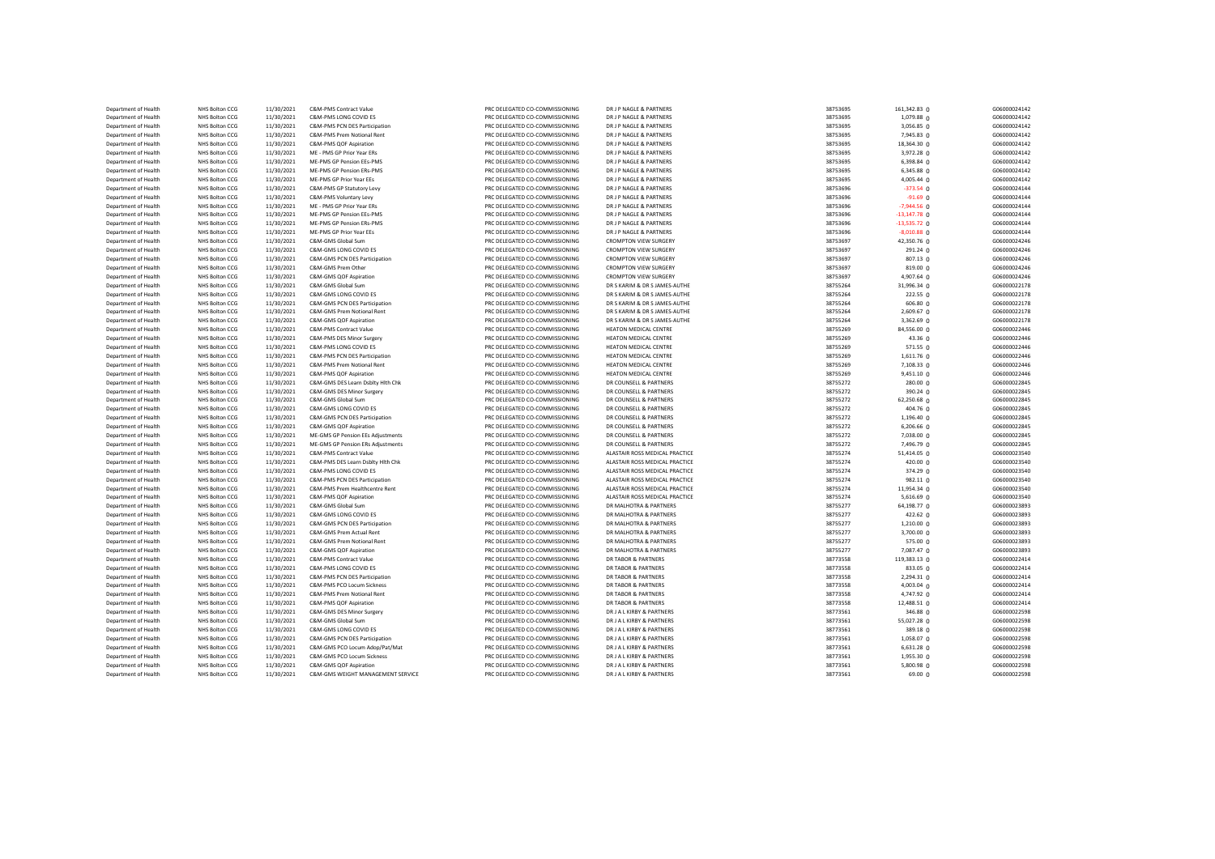| Department of Health                         | NHS Bolton CCG                   | 11/30/2021               | <b>C&amp;M-PMS Contract Value</b>                           | PRC DELEGATED CO-COMMISSIONING                                   | DR J P NAGLE & PARTNERS                        | 38753695             | 161,342.83 0               | G06000024142                 |
|----------------------------------------------|----------------------------------|--------------------------|-------------------------------------------------------------|------------------------------------------------------------------|------------------------------------------------|----------------------|----------------------------|------------------------------|
| Department of Health                         | NHS Bolton CCG                   | 11/30/2021               | C&M-PMS LONG COVID ES                                       | PRC DELEGATED CO-COMMISSIONING                                   | DR J P NAGLE & PARTNERS                        | 38753695             | 1,079.88 0                 | G06000024142                 |
| Department of Health                         | NHS Bolton CCG                   | 11/30/2021               | C&M-PMS PCN DES Participation                               | PRC DELEGATED CO-COMMISSIONING                                   | DR J P NAGLE & PARTNERS                        | 38753695             | 3,056.85 0                 | G06000024142                 |
| Department of Health                         | NHS Bolton CCG                   | 11/30/2021               | C&M-PMS Prem Notional Rent                                  | PRC DELEGATED CO-COMMISSIONING                                   | DR J P NAGLE & PARTNERS                        | 38753695             | 7,945.83 0                 | G06000024142                 |
| Department of Health                         | NHS Bolton CCG                   | 11/30/2021               | C&M-PMS QOF Aspiration                                      | PRC DELEGATED CO-COMMISSIONING                                   | DR J P NAGLE & PARTNERS                        | 38753695             | 18,364.30 0                | G06000024142                 |
| Department of Health                         | NHS Bolton CCG                   | 11/30/2021               | ME - PMS GP Prior Year ERs                                  | PRC DELEGATED CO-COMMISSIONING                                   | DR J P NAGLE & PARTNERS                        | 38753695             | 3,972.28 0                 | G06000024142                 |
| Department of Health                         | NHS Bolton CCG                   | 11/30/2021               | MF-PMS GP Pension FFs-PMS                                   | PRC DELEGATED CO-COMMISSIONING                                   | DR J P NAGLE & PARTNERS                        | 38753695             | $6,398.84$ 0               | G06000024142                 |
| Department of Health                         | NHS Bolton CCG                   | 11/30/2021               | ME-PMS GP Pension ERs-PMS                                   | PRC DELEGATED CO-COMMISSIONING                                   | DR J P NAGLE & PARTNERS                        | 38753695             | 6,345.88 0                 | G06000024142                 |
| Department of Health                         | NHS Bolton CCG                   | 11/30/2021               | ME-PMS GP Prior Year EEs                                    | PRC DELEGATED CO-COMMISSIONING                                   | DR J P NAGLE & PARTNERS                        | 38753695             | 4,005.44 0                 | G06000024142                 |
| Department of Health                         | NHS Bolton CCG                   | 11/30/2021               | C&M-PMS GP Statutory Levy                                   | PRC DELEGATED CO-COMMISSIONING                                   | DR J P NAGLE & PARTNERS                        | 38753696             | $-373.54$ 0                | G06000024144                 |
| Department of Health                         | NHS Bolton CCG                   | 11/30/2021               | C&M-PMS Voluntary Levy                                      | PRC DELEGATED CO-COMMISSIONING                                   | DR J P NAGLE & PARTNERS                        | 38753696             | $-91.69$ 0                 | G06000024144                 |
| Department of Health                         | NHS Bolton CCG                   | 11/30/2021               | ME - PMS GP Prior Year ERs                                  | PRC DELEGATED CO-COMMISSIONING                                   | DR J P NAGLE & PARTNERS                        | 38753696             | $-7,944.56$ 0              | G06000024144                 |
| Department of Health                         | NHS Bolton CCG                   | 11/30/2021               | ME-PMS GP Pension EEs-PMS                                   | PRC DELEGATED CO-COMMISSIONING                                   | DR J P NAGLE & PARTNERS                        | 38753696             | $-13,147.78$ 0             | G06000024144                 |
| Department of Health                         | <b>NHS Bolton CCG</b>            | 11/30/2021               | ME-PMS GP Pension ERs-PMS                                   | PRC DELEGATED CO-COMMISSIONING                                   | DR J P NAGLE & PARTNERS                        | 38753696             | $-13,535.72$ 0             | G06000024144                 |
| Department of Health                         | NHS Bolton CCG                   | 11/30/2021               | ME-PMS GP Prior Year EEs                                    | PRC DELEGATED CO-COMMISSIONING                                   | DR J P NAGLE & PARTNERS                        | 38753696             | $-8,010.88$ 0              | G06000024144                 |
| Department of Health                         | NHS Bolton CCG                   | 11/30/2021               | C&M-GMS Global Sum                                          | PRC DELEGATED CO-COMMISSIONING                                   | <b>CROMPTON VIEW SURGERY</b>                   | 38753697             | 42,350.76 0                | G06000024246                 |
| Department of Health                         | NHS Bolton CCG                   | 11/30/2021               | C&M-GMS LONG COVID ES                                       | PRC DELEGATED CO-COMMISSIONING                                   | <b>CROMPTON VIEW SURGERY</b>                   | 38753697             | 291.24 0                   | G06000024246                 |
| Department of Health                         | NHS Bolton CCG                   | 11/30/2021               | C&M-GMS PCN DES Participation                               | PRC DELEGATED CO-COMMISSIONING                                   | <b>CROMPTON VIEW SURGERY</b>                   | 38753697             | 807.13 0                   | G06000024246                 |
| Department of Health                         | NHS Bolton CCG                   | 11/30/2021               | C&M-GMS Prem Other                                          | PRC DELEGATED CO-COMMISSIONING                                   | <b>CROMPTON VIEW SURGERY</b>                   | 38753697             | 819.00 0                   | G06000024246                 |
| Department of Health                         | NHS Bolton CCG                   | 11/30/2021               | C&M-GMS QOF Aspiration                                      | PRC DELEGATED CO-COMMISSIONING                                   | <b>CROMPTON VIEW SURGERY</b>                   | 38753697             | 4,907.64 0                 | G06000024246                 |
| Department of Health                         | NHS Bolton CCG                   | 11/30/2021               | C&M-GMS Global Sum                                          | PRC DELEGATED CO-COMMISSIONING                                   | DR S KARIM & DR S JAMES-AUTHE                  | 38755264             | 31,996.34 0                | G06000022178                 |
| Department of Health                         | NHS Bolton CCG                   | 11/30/2021               | C&M-GMS LONG COVID ES                                       | PRC DELEGATED CO-COMMISSIONING                                   | DR S KARIM & DR S JAMES-AUTHE                  | 38755264             | $222.55$ 0                 | G06000022178                 |
| Department of Health                         | <b>NHS Bolton CCG</b>            | 11/30/2021               | C&M-GMS PCN DES Participation                               | PRC DELEGATED CO-COMMISSIONING                                   | DR S KARIM & DR S JAMES-AUTHE                  | 38755264             | 606.80 <sub>0</sub>        | G06000022178                 |
| Department of Health                         | NHS Bolton CCG                   | 11/30/2021               | C&M-GMS Prem Notional Rent                                  | PRC DELEGATED CO-COMMISSIONING                                   | DR S KARIM & DR S JAMES-AUTHE                  | 38755264             | 2,609.67 0                 | G06000022178                 |
| Department of Health                         | NHS Bolton CCG                   | 11/30/2021               | C&M-GMS QOF Aspiration                                      | PRC DELEGATED CO-COMMISSIONING                                   | DR S KARIM & DR S JAMES-AUTHE                  | 38755264             | 3,362.69 0                 | G06000022178                 |
| Department of Health                         | NHS Bolton CCG                   | 11/30/2021               | C&M-PMS Contract Value                                      | PRC DELEGATED CO-COMMISSIONING                                   | HEATON MEDICAL CENTRE                          | 38755269             | 84,556.00 0                | G06000022446                 |
| Department of Health                         | NHS Bolton CCG                   | 11/30/2021               | C&M-PMS DES Minor Surgery                                   | PRC DELEGATED CO-COMMISSIONING                                   | HEATON MEDICAL CENTRE                          | 38755269             | 43.36 0                    | G06000022446                 |
| Department of Health                         | NHS Bolton CCG                   | 11/30/2021               | C&M-PMS LONG COVID ES                                       | PRC DELEGATED CO-COMMISSIONING                                   | HEATON MEDICAL CENTRE                          | 38755269             | $571.55$ 0                 | G06000022446                 |
| Department of Health                         | NHS Bolton CCG                   | 11/30/2021               | C&M-PMS PCN DES Participation<br>C&M-PMS Prem Notional Rent | PRC DELEGATED CO-COMMISSIONING                                   | HEATON MEDICAL CENTRE                          | 38755269             | 1,611.76 0                 | G06000022446                 |
| Department of Health<br>Department of Health | NHS Bolton CCG<br>NHS Bolton CCG | 11/30/2021<br>11/30/2021 | C&M-PMS QOF Aspiration                                      | PRC DELEGATED CO-COMMISSIONING<br>PRC DELEGATED CO-COMMISSIONING | HEATON MEDICAL CENTRE<br>HEATON MEDICAL CENTRE | 38755269<br>38755269 | 7,108.33 0<br>$9,451.10$ 0 | G06000022446<br>G06000022446 |
| Department of Health                         | NHS Bolton CCG                   | 11/30/2021               | C&M-GMS DES Learn Dsblty Hith Chk                           | PRC DELEGATED CO-COMMISSIONING                                   | DR COUNSELL & PARTNERS                         | 38755272             | 280.000                    | G06000022845                 |
| Department of Health                         | NHS Bolton CCG                   | 11/30/2021               | C&M-GMS DES Minor Surgery                                   | PRC DELEGATED CO-COMMISSIONING                                   | DR COUNSELL & PARTNERS                         | 38755272             | 390.24 0                   | G06000022845                 |
| Department of Health                         | NHS Bolton CCG                   | 11/30/2021               | C&M-GMS Global Sum                                          | PRC DELEGATED CO-COMMISSIONING                                   | DR COUNSELL & PARTNERS                         | 38755272             | 62,250.68 0                | G06000022845                 |
| Department of Health                         | NHS Bolton CCG                   | 11/30/2021               | C&M-GMS LONG COVID ES                                       | PRC DELEGATED CO-COMMISSIONING                                   | DR COUNSELL & PARTNERS                         | 38755272             | 404.76 0                   | G06000022845                 |
| Department of Health                         | NHS Bolton CCG                   | 11/30/2021               | C&M-GMS PCN DES Participation                               | PRC DELEGATED CO-COMMISSIONING                                   | DR COUNSELL & PARTNERS                         | 38755272             | 1,196.40 0                 | G06000022845                 |
| Department of Health                         | NHS Bolton CCG                   | 11/30/2021               | C&M-GMS QOF Aspiration                                      | PRC DELEGATED CO-COMMISSIONING                                   | DR COUNSELL & PARTNERS                         | 38755272             | $6,206.66$ 0               | G06000022845                 |
| Department of Health                         | NHS Bolton CCG                   | 11/30/2021               | ME-GMS GP Pension EEs Adjustments                           | PRC DELEGATED CO-COMMISSIONING                                   | DR COUNSELL & PARTNERS                         | 38755272             | 7,038.00 0                 | G06000022845                 |
| Department of Health                         | NHS Bolton CCG                   | 11/30/2021               | ME-GMS GP Pension ERs Adjustments                           | PRC DELEGATED CO-COMMISSIONING                                   | DR COUNSELL & PARTNERS                         | 38755272             | 7,496.79 0                 | G06000022845                 |
| Department of Health                         | NHS Bolton CCG                   | 11/30/2021               | C&M-PMS Contract Value                                      | PRC DELEGATED CO-COMMISSIONING                                   | ALASTAIR ROSS MEDICAL PRACTICE                 | 38755274             | 51,414.05 0                | G06000023540                 |
| Department of Health                         | <b>NHS Bolton CCG</b>            | 11/30/2021               | C&M-PMS DES Learn Dsblty Hlth Chk                           | PRC DELEGATED CO-COMMISSIONING                                   | ALASTAIR ROSS MEDICAL PRACTICE                 | 38755274             | 420.00 $\rho$              | G06000023540                 |
| Department of Health                         | <b>NHS Bolton CCG</b>            | 11/30/2021               | C&M-PMS LONG COVID ES                                       | PRC DELEGATED CO-COMMISSIONING                                   | ALASTAIR ROSS MEDICAL PRACTICE                 | 38755274             | 374.29 0                   | G06000023540                 |
| Department of Health                         | NHS Bolton CCG                   | 11/30/2021               | C&M-PMS PCN DES Participation                               | PRC DELEGATED CO-COMMISSIONING                                   | ALASTAIR ROSS MEDICAL PRACTICE                 | 38755274             | $982.11 \n0$               | G06000023540                 |
| Department of Health                         | NHS Bolton CCG                   | 11/30/2021               | C&M-PMS Prem Healthcentre Rent                              | PRC DELEGATED CO-COMMISSIONING                                   | ALASTAIR ROSS MEDICAL PRACTICE                 | 38755274             | 11,954.34 0                | G06000023540                 |
| Department of Health                         | NHS Bolton CCG                   | 11/30/2021               | C&M-PMS QOF Aspiration                                      | PRC DELEGATED CO-COMMISSIONING                                   | ALASTAIR ROSS MEDICAL PRACTICE                 | 38755274             | 5,616.69 0                 | G06000023540                 |
| Department of Health                         | NHS Bolton CCG                   | 11/30/2021               | C&M-GMS Global Sum                                          | PRC DELEGATED CO-COMMISSIONING                                   | DR MALHOTRA & PARTNERS                         | 38755277             | 64,198.77 0                | G06000023893                 |
| Department of Health                         | NHS Bolton CCG                   | 11/30/2021               | C&M-GMS LONG COVID ES                                       | PRC DELEGATED CO-COMMISSIONING                                   | DR MALHOTRA & PARTNERS                         | 38755277             | 422.62 0                   | G06000023893                 |
| Department of Health                         | NHS Bolton CCG                   | 11/30/2021               | C&M-GMS PCN DES Participation                               | PRC DELEGATED CO-COMMISSIONING                                   | DR MAI HOTRA & PARTNERS                        | 38755277             | 1,210.00 0                 | G06000023893                 |
| Department of Health                         | NHS Bolton CCG                   | 11/30/2021               | C&M-GMS Prem Actual Rent                                    | PRC DELEGATED CO-COMMISSIONING                                   | DR MALHOTRA & PARTNERS                         | 38755277             | 3,700.00 0                 | G06000023893                 |
| Department of Health                         | NHS Bolton CCG                   | 11/30/2021               | C&M-GMS Prem Notional Rent                                  | PRC DELEGATED CO-COMMISSIONING                                   | DR MALHOTRA & PARTNERS                         | 38755277             | 575.00 <sub>0</sub>        | G06000023893                 |
| Department of Health                         | NHS Bolton CCG                   | 11/30/2021               | C&M-GMS QOF Aspiration                                      | PRC DELEGATED CO-COMMISSIONING                                   | DR MALHOTRA & PARTNERS                         | 38755277             | 7,087.47 0                 | G06000023893                 |
| Department of Health                         | NHS Bolton CCG                   | 11/30/2021               | C&M-PMS Contract Value                                      | PRC DELEGATED CO-COMMISSIONING                                   | <b>DR TABOR &amp; PARTNERS</b>                 | 38773558             | 119,383.13 0               | G06000022414                 |
| Department of Health                         | NHS Bolton CCG                   | 11/30/2021               | C&M-PMS LONG COVID ES                                       | PRC DELEGATED CO-COMMISSIONING                                   | <b>DR TABOR &amp; PARTNERS</b>                 | 38773558             | 833.05 0                   | G06000022414                 |
| Department of Health                         | NHS Bolton CCG                   | 11/30/2021               | C&M-PMS PCN DES Participation                               | PRC DELEGATED CO-COMMISSIONING                                   | DR TABOR & PARTNERS                            | 38773558             | 2,294.31 0                 | G06000022414                 |
| Department of Health                         | NHS Bolton CCG                   | 11/30/2021               | C&M-PMS PCO Locum Sickness                                  | PRC DELEGATED CO-COMMISSIONING                                   | <b>DR TABOR &amp; PARTNERS</b>                 | 38773558             | $4,003.04$ 0               | G06000022414                 |
| Department of Health                         | NHS Bolton CCG                   | 11/30/2021               | C&M-PMS Prem Notional Rent                                  | PRC DELEGATED CO-COMMISSIONING                                   | <b>DR TABOR &amp; PARTNERS</b>                 | 38773558             | 4,747.92 0                 | G06000022414                 |
| Department of Health                         | NHS Bolton CCG                   | 11/30/2021               | C&M-PMS QOF Aspiration                                      | PRC DELEGATED CO-COMMISSIONING                                   | <b>DR TABOR &amp; PARTNERS</b>                 | 38773558             | 12,488.51 0                | G06000022414                 |
| Department of Health                         | NHS Bolton CCG                   | 11/30/2021               | C&M-GMS DES Minor Surgery                                   | PRC DELEGATED CO-COMMISSIONING                                   | DR J A L KIRBY & PARTNERS                      | 38773561             | 346.88 0                   | G06000022598                 |
| Department of Health                         | NHS Bolton CCG                   | 11/30/2021               | C&M-GMS Global Sum                                          | PRC DELEGATED CO-COMMISSIONING                                   | DR J A L KIRBY & PARTNERS                      | 38773561             | 55,027.28 0                | G06000022598                 |
| Department of Health                         | <b>NHS Bolton CCG</b>            | 11/30/2021               | C&M-GMS LONG COVID ES                                       | PRC DELEGATED CO-COMMISSIONING                                   | DR J A L KIRBY & PARTNERS                      | 38773561             | 389.18 0                   | G06000022598                 |
| Department of Health                         | NHS Bolton CCG                   | 11/30/2021               | C&M-GMS PCN DES Participation                               | PRC DELEGATED CO-COMMISSIONING                                   | DR J A L KIRBY & PARTNERS                      | 38773561             | $1,058.07$ 0               | G06000022598                 |
| Department of Health                         | NHS Bolton CCG                   | 11/30/2021               | C&M-GMS PCO Locum Adop/Pat/Mat                              | PRC DELEGATED CO-COMMISSIONING                                   | DR J A L KIRBY & PARTNERS                      | 38773561             | $6,631.28$ 0               | G06000022598                 |
| Department of Health                         | NHS Bolton CCG                   | 11/30/2021               | C&M-GMS PCO Locum Sickness                                  | PRC DELEGATED CO-COMMISSIONING                                   | DR J A L KIRBY & PARTNERS                      | 38773561             | 1,955.30 0                 | G06000022598                 |
| Department of Health                         | NHS Bolton CCG                   | 11/30/2021               | C&M-GMS QOF Aspiration                                      | PRC DELEGATED CO-COMMISSIONING                                   | DR J A L KIRBY & PARTNERS                      | 38773561             | $5,800.98$ 0               | G06000022598                 |
| Department of Health                         | NHS Bolton CCG                   | 11/30/2021               | C&M-GMS WEIGHT MANAGEMENT SERVICE                           | PRC DELEGATED CO-COMMISSIONING                                   | DR J A L KIRBY & PARTNERS                      | 38773561             | 69.00 0                    | G06000022598                 |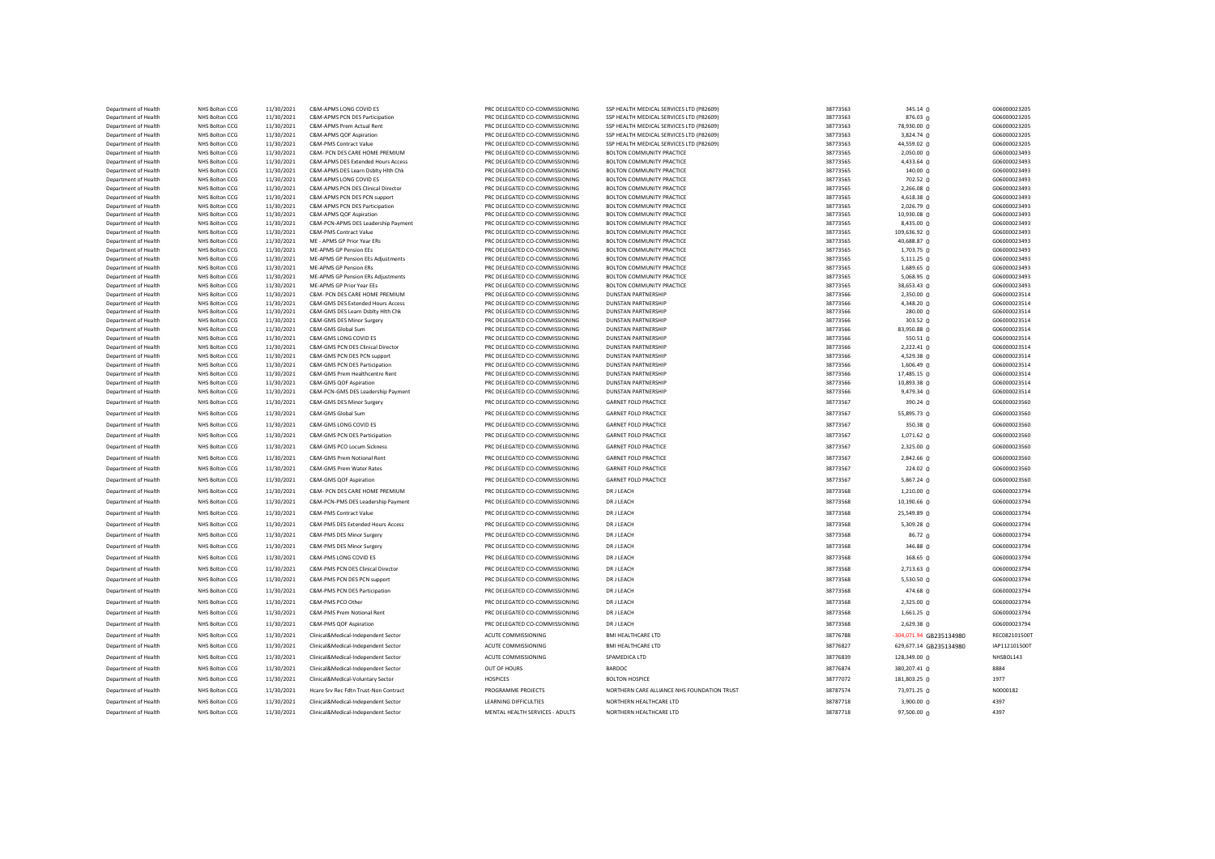| Department of Health                         | NHS Bolton CCG                   | 11/30/2021               | C&M-APMS LONG COVID ES                                          | PRC DELEGATED CO-COMMISSIONING                                   | SSP HEALTH MEDICAL SERVICES LTD (P82609)                 | 38773563             | 345.14 0                   | G06000023205                 |
|----------------------------------------------|----------------------------------|--------------------------|-----------------------------------------------------------------|------------------------------------------------------------------|----------------------------------------------------------|----------------------|----------------------------|------------------------------|
| Department of Health                         | NHS Bolton CCG                   | 11/30/2021               | C&M-APMS PCN DES Participation                                  | PRC DELEGATED CO-COMMISSIONING                                   | SSP HEALTH MEDICAL SERVICES LTD (P82609)                 | 38773563             | 876.03 0                   | G06000023205                 |
| Department of Health                         | NHS Bolton CCG                   | 11/30/2021               | C&M-APMS Prem Actual Rent                                       | PRC DELEGATED CO-COMMISSIONING                                   | SSP HEALTH MEDICAL SERVICES LTD (P82609)                 | 38773563             | 78,930.00 0                | G06000023205                 |
| Department of Health                         | NHS Bolton CCG                   | 11/30/2021               | C&M-APMS QOF Aspiration                                         | PRC DELEGATED CO-COMMISSIONING                                   | SSP HEALTH MEDICAL SERVICES LTD (P82609)                 | 38773563             | 3,824.74 0                 | G06000023205                 |
| Department of Health                         | NHS Bolton CCG                   | 11/30/2021               | C&M-PMS Contract Value                                          | PRC DELEGATED CO-COMMISSIONING                                   | SSP HEALTH MEDICAL SERVICES LTD (P82609)                 | 38773563             | 44,559.02 0                | G06000023205                 |
| Department of Health                         | NHS Bolton CCG                   | 11/30/2021               | C&M- PCN DES CARE HOME PREMIUM                                  | PRC DELEGATED CO-COMMISSIONING                                   | BOLTON COMMUNITY PRACTICE                                | 38773565             | 2,050.00 0                 | G06000023493                 |
| Department of Health                         | NHS Bolton CCG                   | 11/30/2021               | C&M-APMS DES Extended Hours Access                              | PRC DELEGATED CO-COMMISSIONING                                   | <b>BOLTON COMMUNITY PRACTICE</b>                         | 38773565             | 4,433.64 0                 | G06000023493                 |
| Department of Health                         | NHS Bolton CCG                   | 11/30/2021               | C&M-APMS DES Learn Dsblty Hlth Chk<br>C&M-APMS LONG COVID ES    | PRC DELEGATED CO-COMMISSIONING                                   | BOLTON COMMUNITY PRACTICE<br>BOLTON COMMUNITY PRACTICE   | 38773565             | 140.00 0                   | G06000023493                 |
| Department of Health<br>Department of Health | NHS Bolton CCG<br>NHS Bolton CCG | 11/30/2021<br>11/30/2021 | C&M-APMS PCN DES Clinical Director                              | PRC DELEGATED CO-COMMISSIONING<br>PRC DELEGATED CO-COMMISSIONING | <b>BOLTON COMMUNITY PRACTICE</b>                         | 38773565<br>38773565 | 702.52 0                   | G06000023493<br>G06000023493 |
| Department of Health                         | NHS Bolton CCG                   | 11/30/2021               | C&M-APMS PCN DES PCN support                                    | PRC DELEGATED CO-COMMISSIONING                                   | BOLTON COMMUNITY PRACTICE                                | 38773565             | 2,266.08 0<br>4,618.38 0   | G06000023493                 |
| Department of Health                         | NHS Bolton CCG                   | 11/30/2021               | C&M-APMS PCN DES Participation                                  | PRC DELEGATED CO-COMMISSIONING                                   | <b>BOLTON COMMUNITY PRACTICE</b>                         | 38773565             | 2,026.79 0                 | G06000023493                 |
| Department of Health                         | NHS Bolton CCG                   | 11/30/2021               | C&M-APMS QOF Aspiration                                         | PRC DELEGATED CO-COMMISSIONING                                   | <b>BOLTON COMMUNITY PRACTICE</b>                         | 38773565             | 10,930.08 0                | G06000023493                 |
| Department of Health                         | NHS Bolton CCG                   | 11/30/2021               | C&M-PCN-APMS DES Leadership Payment                             | PRC DELEGATED CO-COMMISSIONING                                   | BOLTON COMMUNITY PRACTICE                                | 38773565             | 8,435.00 0                 | G06000023493                 |
| Department of Health                         | NHS Bolton CCG                   | 11/30/2021               | C&M-PMS Contract Value                                          | PRC DELEGATED CO-COMMISSIONING                                   | BOLTON COMMUNITY PRACTICE                                | 38773565             | 109,636.92 0               | G06000023493                 |
| Department of Health                         | NHS Bolton CCG                   | 11/30/2021               | ME - APMS GP Prior Year ERs                                     | PRC DELEGATED CO-COMMISSIONING                                   | <b>BOLTON COMMUNITY PRACTICE</b>                         | 38773565             | 40,688.87 0                | G06000023493                 |
| Department of Health                         | NHS Bolton CCG                   | 11/30/2021               | ME-APMS GP Pension EEs                                          | PRC DELEGATED CO-COMMISSIONING                                   | BOLTON COMMUNITY PRACTICE                                | 38773565             | 1,703.75 0                 | G06000023493                 |
| Department of Health                         | NHS Bolton CCG                   | 11/30/2021               | ME-APMS GP Pension EEs Adjustments                              | PRC DELEGATED CO-COMMISSIONING                                   | BOLTON COMMUNITY PRACTICE                                | 38773565             | 5,111.25 0                 | G06000023493                 |
| Department of Health                         | NHS Bolton CCG                   | 11/30/2021               | ME-APMS GP Pension ERs                                          | PRC DELEGATED CO-COMMISSIONING                                   | BOLTON COMMUNITY PRACTICE                                | 38773565             | 1,689.65 0                 | G06000023493                 |
| Department of Health                         | NHS Bolton CCG                   | 11/30/2021               | ME-APMS GP Pension ERs Adjustments                              | PRC DELEGATED CO-COMMISSIONING                                   | BOLTON COMMUNITY PRACTICE                                | 38773565             | 5,068.95 0                 | G06000023493                 |
| Department of Health                         | NHS Bolton CCG                   | 11/30/2021               | ME-APMS GP Prior Year EEs                                       | PRC DELEGATED CO-COMMISSIONING                                   | BOLTON COMMUNITY PRACTICE                                | 38773565             | 38,653.43 0                | G06000023493                 |
| Department of Health                         | NHS Bolton CCG                   | 11/30/2021               | C&M- PCN DES CARE HOME PREMIUM                                  | PRC DELEGATED CO-COMMISSIONING                                   | <b>DUNSTAN PARTNERSHIP</b>                               | 38773566             | 2,350.00 0                 | G06000023514                 |
| Department of Health                         | NHS Bolton CCG                   | 11/30/2021               | C&M-GMS DES Extended Hours Access                               | PRC DELEGATED CO-COMMISSIONING                                   | DUNSTAN PARTNERSHIP                                      | 38773566             | 4,348.20 0                 | G06000023514                 |
| Department of Health                         | NHS Bolton CCG                   | 11/30/2021               | C&M-GMS DES Learn Dsblty Hith Chk                               | PRC DELEGATED CO-COMMISSIONING                                   | <b>DUNSTAN PARTNERSHIP</b>                               | 38773566             | 280.00 0                   | G06000023514                 |
| Department of Health                         | NHS Bolton CCG                   | 11/30/2021               | C&M-GMS DES Minor Surgery                                       | PRC DELEGATED CO-COMMISSIONING                                   | <b>DUNSTAN PARTNERSHIP</b>                               | 38773566             | 303.52 <sub>0</sub>        | G06000023514                 |
| Department of Health                         | NHS Bolton CCG                   | 11/30/2021               | C&M-GMS Global Sum                                              | PRC DELEGATED CO-COMMISSIONING                                   | <b>DUNSTAN PARTNERSHIP</b>                               | 38773566             | 83,950.88 0                | G06000023514                 |
| Department of Health                         | NHS Bolton CCG                   | 11/30/2021               | C&M-GMS LONG COVID ES                                           | PRC DELEGATED CO-COMMISSIONING                                   | <b>DUNSTAN PARTNERSHIP</b>                               | 38773566             | 550.51 0                   | G06000023514                 |
| Department of Health                         | NHS Bolton CCG                   | 11/30/2021               | C&M-GMS PCN DES Clinical Director                               | PRC DELEGATED CO-COMMISSIONING                                   | <b>DUNSTAN PARTNERSHIP</b>                               | 38773566             | 2,222.41 0                 | G06000023514                 |
| Department of Health                         | NHS Bolton CCG                   | 11/30/2021               | C&M-GMS PCN DES PCN support                                     | PRC DELEGATED CO-COMMISSIONING                                   | <b>DUNSTAN PARTNERSHIP</b>                               | 38773566             | 4,529.38 0                 | G06000023514                 |
| Department of Health<br>Department of Health | NHS Bolton CCG<br>NHS Bolton CCG | 11/30/2021<br>11/30/2021 | C&M-GMS PCN DES Participation<br>C&M-GMS Prem Healthcentre Rent | PRC DELEGATED CO-COMMISSIONING<br>PRC DELEGATED CO-COMMISSIONING | <b>DUNSTAN PARTNERSHIP</b><br><b>DUNSTAN PARTNERSHIP</b> | 38773566<br>38773566 | 1,606.49 0                 | G06000023514<br>G06000023514 |
| Department of Health                         | NHS Bolton CCG                   | 11/30/2021               | C&M-GMS QOF Aspiration                                          | PRC DELEGATED CO-COMMISSIONING                                   | <b>DUNSTAN PARTNERSHIP</b>                               | 38773566             | 17,485.15 0<br>10,893.38 0 | G06000023514                 |
| Department of Health                         | NHS Bolton CCG                   | 11/30/2021               | C&M-PCN-GMS DES Leadership Payment                              | PRC DELEGATED CO-COMMISSIONING                                   | <b>DUNSTAN PARTNERSHIP</b>                               | 38773566             | 9,479.34 0                 | G06000023514                 |
|                                              |                                  |                          |                                                                 |                                                                  |                                                          |                      |                            |                              |
| Department of Health                         | NHS Bolton CCG                   | 11/30/2021               | C&M-GMS DES Minor Surgery                                       | PRC DELEGATED CO-COMMISSIONING                                   | <b>GARNET FOLD PRACTICE</b>                              | 38773567             | 390.24 0                   | G06000023560                 |
| Department of Health                         | NHS Bolton CCG                   | 11/30/2021               | C&M-GMS Global Sum                                              | PRC DELEGATED CO-COMMISSIONING                                   | <b>GARNET FOLD PRACTICE</b>                              | 38773567             | 55,895.73 0                | G06000023560                 |
| Department of Health                         | NHS Bolton CCG                   | 11/30/2021               | C&M-GMS LONG COVID ES                                           | PRC DELEGATED CO-COMMISSIONING                                   | <b>GARNET FOLD PRACTICE</b>                              | 38773567             | 350.38 0                   | G06000023560                 |
| Department of Health                         | NHS Bolton CCG                   | 11/30/2021               | C&M-GMS PCN DES Participation                                   | PRC DELEGATED CO-COMMISSIONING                                   | <b>GARNET FOLD PRACTICE</b>                              | 38773567             | 1,071.62 0                 | G06000023560                 |
| Department of Health                         | NHS Bolton CCG                   | 11/30/2021               | C&M-GMS PCO Locum Sickness                                      | PRC DELEGATED CO-COMMISSIONING                                   | <b>GARNET FOLD PRACTICE</b>                              | 38773567             | 2,325.00 0                 | G06000023560                 |
| Department of Health                         | NHS Bolton CCG                   | 11/30/2021               | C&M-GMS Prem Notional Rent                                      | PRC DELEGATED CO-COMMISSIONING                                   | <b>GARNET FOLD PRACTICE</b>                              | 38773567             | 2,842.66 0                 | G06000023560                 |
|                                              |                                  |                          |                                                                 |                                                                  |                                                          |                      |                            |                              |
| Department of Health                         | NHS Bolton CCG                   | 11/30/2021               | C&M-GMS Prem Water Rates                                        | PRC DELEGATED CO-COMMISSIONING                                   | <b>GARNET FOLD PRACTICE</b>                              | 38773567             | 224.02 0                   | G06000023560                 |
| Department of Health                         | NHS Bolton CCG                   | 11/30/2021               | C&M-GMS QOF Aspiration                                          | PRC DELEGATED CO-COMMISSIONING                                   | <b>GARNET FOLD PRACTICE</b>                              | 38773567             | 5,867.24 0                 | G06000023560                 |
| Department of Health                         | NHS Bolton CCG                   | 11/30/2021               | C&M- PCN DES CARE HOME PREMIUM                                  | PRC DELEGATED CO-COMMISSIONING                                   | <b>DR J LEACH</b>                                        | 38773568             | $1,210.00$ 0               | G06000023794                 |
| Department of Health                         | NHS Bolton CCG                   | 11/30/2021               | C&M-PCN-PMS DES Leadership Payment                              | PRC DELEGATED CO-COMMISSIONING                                   | DR J LEACH                                               | 38773568             | 10,190.66 0                | G06000023794                 |
| Department of Health                         | NHS Bolton CCG                   | 11/30/2021               | C&M-PMS Contract Value                                          | PRC DELEGATED CO-COMMISSIONING                                   | DR J LEACH                                               | 38773568             | 25,549.89 0                | G06000023794                 |
|                                              |                                  |                          |                                                                 |                                                                  |                                                          |                      |                            |                              |
| Department of Health                         | NHS Bolton CCG                   | 11/30/2021               | C&M-PMS DES Extended Hours Access                               | PRC DELEGATED CO-COMMISSIONING                                   | DR J LEACH                                               | 38773568             | 5,309.28 0                 | G06000023794                 |
| Department of Health                         | NHS Bolton CCG                   | 11/30/2021               | C&M-PMS DES Minor Surgery                                       | PRC DELEGATED CO-COMMISSIONING                                   | DR J LEACH                                               | 38773568             | 86.72 <sub>0</sub>         | G06000023794                 |
| Department of Health                         | NHS Bolton CCG                   | 11/30/2021               | C&M-PMS DES Minor Surgery                                       | PRC DELEGATED CO-COMMISSIONING                                   | DR J LEACH                                               | 38773568             | 346.88 0                   | G06000023794                 |
| Department of Health                         | NHS Bolton CCG                   | 11/30/2021               | C&M-PMS LONG COVID ES                                           | PRC DELEGATED CO-COMMISSIONING                                   | DR J LEACH                                               | 38773568             | 168.65 <sub>0</sub>        | G06000023794                 |
| Department of Health                         | NHS Bolton CCG                   | 11/30/2021               | C&M-PMS PCN DES Clinical Director                               | PRC DELEGATED CO-COMMISSIONING                                   | <b>DR J LEACH</b>                                        | 38773568             | 2,713.63 0                 | G06000023794                 |
| Department of Health                         | NHS Bolton CCG                   | 11/30/2021               | C&M-PMS PCN DES PCN support                                     | PRC DELEGATED CO-COMMISSIONING                                   | DR J LEACH                                               | 38773568             | 5,530.50 0                 | G06000023794                 |
|                                              |                                  |                          |                                                                 |                                                                  |                                                          |                      |                            |                              |
| Department of Health                         | NHS Bolton CCG                   | 11/30/2021               | C&M-PMS PCN DES Participation                                   | PRC DELEGATED CO-COMMISSIONING                                   | <b>DR J LEACH</b>                                        | 38773568             | 474.68 0                   | G06000023794                 |
| Department of Health                         | NHS Bolton CCG                   | 11/30/2021               | C&M-PMS PCO Other                                               | PRC DELEGATED CO-COMMISSIONING                                   | DR J LEACH                                               | 38773568             | 2,325.00 0                 | G06000023794                 |
| Department of Health                         | NHS Bolton CCG                   | 11/30/2021               | C&M-PMS Prem Notional Rent                                      | PRC DELEGATED CO-COMMISSIONING                                   | DR J LEACH                                               | 38773568             | $1,661.25$ 0               | G06000023794                 |
| Department of Health                         | NHS Bolton CCG                   | 11/30/2021               | C&M-PMS OOF Asniration                                          | PRC DELEGATED CO-COMMISSIONING                                   | <b>DRJ LEACH</b>                                         | 38773568             | $2,629.38$ 0               | G06000023794                 |
| Department of Health                         | NHS Bolton CCG                   | 11/30/2021               | Clinical&Medical-Independent Sector                             | ACUTE COMMISSIONING                                              | <b>BMI HEALTHCARE LTD</b>                                | 38776788             | -304,071.94 GB235134980    | REC082101500                 |
|                                              |                                  |                          |                                                                 |                                                                  |                                                          |                      |                            |                              |
| Department of Health                         | NHS Bolton CCG                   | 11/30/2021               | Clinical&Medical-Independent Sector                             | ACUTE COMMISSIONING                                              | <b>BMI HEALTHCARE LTD</b>                                | 38776827             | 629,677.14 GB235134980     | IAP112101500T                |
| Department of Health                         | NHS Bolton CCG                   | 11/30/2021               | Clinical&Medical-Independent Sector                             | ACUTE COMMISSIONING                                              | SPAMEDICA LTD                                            | 38776839             | 128,349.00 0               | NHSBOL143                    |
| Department of Health                         | NHS Bolton CCG                   | 11/30/2021               | Clinical&Medical-Independent Sector                             | OUT OF HOURS                                                     | BARDOC                                                   | 38776874             | 380,207.41 0               | 8884                         |
| Department of Health                         | NHS Bolton CCG                   | 11/30/2021               | Clinical&Medical-Voluntary Sector                               | <b>HOSPICES</b>                                                  | <b>BOLTON HOSPICE</b>                                    | 38777072             | 181,803.25 0               | 1977                         |
| Department of Health                         | NHS Bolton CCG                   | 11/30/2021               | Hcare Srv Rec Fdtn Trust-Non Contract                           | PROGRAMME PROJECTS                                               | NORTHERN CARE ALLIANCE NHS FOUNDATION TRUST              | 38787574             | 73,971.25 0                | N0000182                     |
| Department of Health                         | NHS Bolton CCG                   | 11/30/2021               | Clinical&Medical-Independent Sector                             | LEARNING DIFFICULTIES                                            | NORTHERN HEALTHCARE LTD                                  | 38787718             | $3,900.00$ $0$             | 4397                         |
|                                              |                                  |                          |                                                                 |                                                                  |                                                          |                      |                            |                              |
| Department of Health                         | NHS Bolton CCG                   | 11/30/2021               | Clinical&Medical-Independent Sector                             | MENTAL HEALTH SERVICES - ADULTS                                  | NORTHERN HEALTHCARE LTD                                  | 38787718             | 97,500.00 0                | 4397                         |